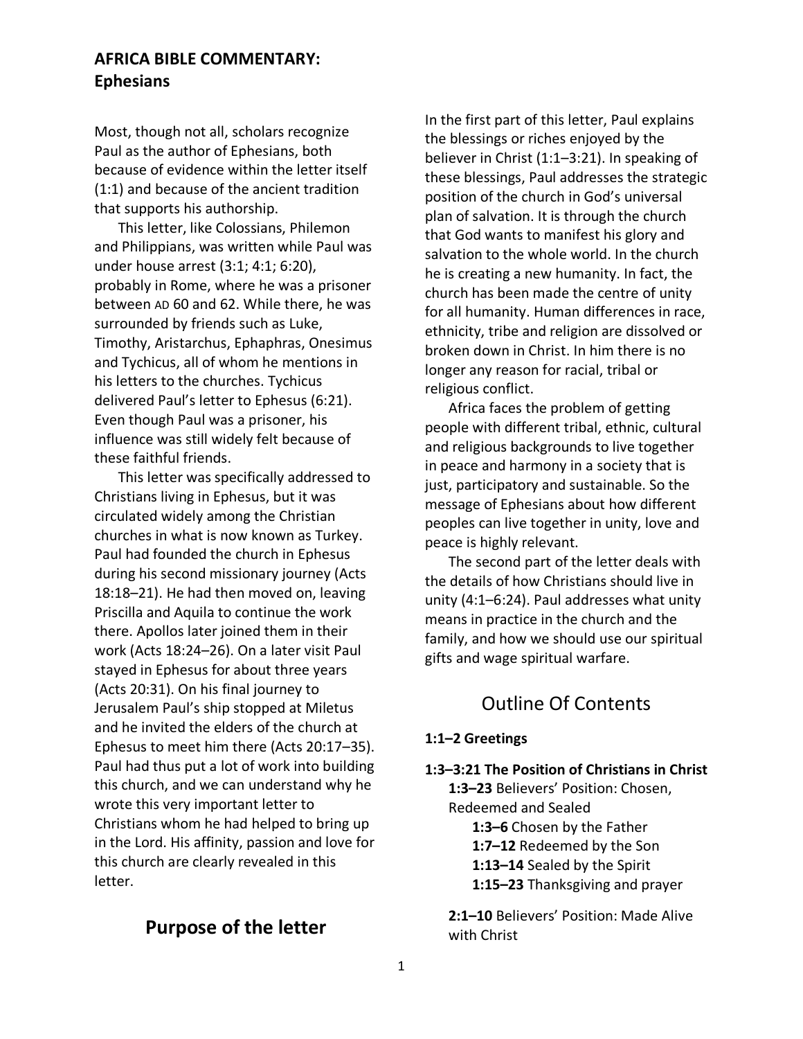## **AFRICA BIBLE COMMENTARY: Ephesians**

Most, though not all, scholars recognize Paul as the author of Ephesians, both because of evidence within the letter itself (1:1) and because of the ancient tradition that supports his authorship.

This letter, like Colossians, Philemon and Philippians, was written while Paul was under house arrest (3:1; 4:1; 6:20), probably in Rome, where he was a prisoner between AD 60 and 62. While there, he was surrounded by friends such as Luke, Timothy, Aristarchus, Ephaphras, Onesimus and Tychicus, all of whom he mentions in his letters to the churches. Tychicus delivered Paul's letter to Ephesus (6:21). Even though Paul was a prisoner, his influence was still widely felt because of these faithful friends.

This letter was specifically addressed to Christians living in Ephesus, but it was circulated widely among the Christian churches in what is now known as Turkey. Paul had founded the church in Ephesus during his second missionary journey (Acts 18:18–21). He had then moved on, leaving Priscilla and Aquila to continue the work there. Apollos later joined them in their work (Acts 18:24–26). On a later visit Paul stayed in Ephesus for about three years (Acts 20:31). On his final journey to Jerusalem Paul's ship stopped at Miletus and he invited the elders of the church at Ephesus to meet him there (Acts 20:17–35). Paul had thus put a lot of work into building this church, and we can understand why he wrote this very important letter to Christians whom he had helped to bring up in the Lord. His affinity, passion and love for this church are clearly revealed in this letter.

# **Purpose of the letter**

In the first part of this letter, Paul explains the blessings or riches enjoyed by the believer in Christ (1:1–3:21). In speaking of these blessings, Paul addresses the strategic position of the church in God's universal plan of salvation. It is through the church that God wants to manifest his glory and salvation to the whole world. In the church he is creating a new humanity. In fact, the church has been made the centre of unity for all humanity. Human differences in race, ethnicity, tribe and religion are dissolved or broken down in Christ. In him there is no longer any reason for racial, tribal or religious conflict.

Africa faces the problem of getting people with different tribal, ethnic, cultural and religious backgrounds to live together in peace and harmony in a society that is just, participatory and sustainable. So the message of Ephesians about how different peoples can live together in unity, love and peace is highly relevant.

The second part of the letter deals with the details of how Christians should live in unity (4:1–6:24). Paul addresses what unity means in practice in the church and the family, and how we should use our spiritual gifts and wage spiritual warfare.

# Outline Of Contents

### **1:1–2 Greetings**

### **1:3–3:21 The Position of Christians in Christ**

**1:3–23** Believers' Position: Chosen, Redeemed and Sealed

**1:3–6** Chosen by the Father

**1:7–12** Redeemed by the Son

**1:13–14** Sealed by the Spirit

**1:15–23** Thanksgiving and prayer

**2:1–10** Believers' Position: Made Alive with Christ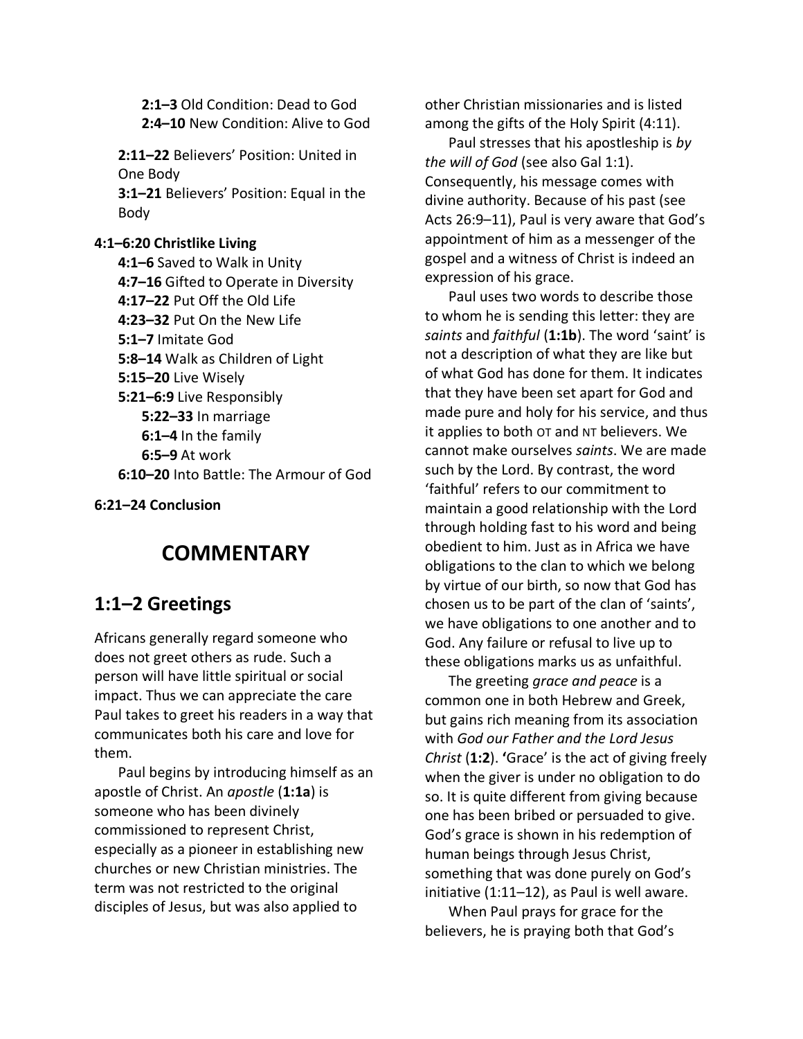**2:1–3** Old Condition: Dead to God **2:4–10** New Condition: Alive to God

**2:11–22** Believers' Position: United in One Body **3:1–21** Believers' Position: Equal in the Body

**4:1–6:20 Christlike Living 4:1–6** Saved to Walk in Unity **4:7–16** Gifted to Operate in Diversity **4:17–22** Put Off the Old Life **4:23–32** Put On the New Life **5:1–7** Imitate God **5:8–14** Walk as Children of Light **5:15–20** Live Wisely **5:21–6:9** Live Responsibly **5:22–33** In marriage **6:1–4** In the family **6:5–9** At work **6:10–20** Into Battle: The Armour of God

**6:21–24 Conclusion**

# **COMMENTARY**

# **1:1–2 Greetings**

Africans generally regard someone who does not greet others as rude. Such a person will have little spiritual or social impact. Thus we can appreciate the care Paul takes to greet his readers in a way that communicates both his care and love for them.

Paul begins by introducing himself as an apostle of Christ. An *apostle* (**1:1a**) is someone who has been divinely commissioned to represent Christ, especially as a pioneer in establishing new churches or new Christian ministries. The term was not restricted to the original disciples of Jesus, but was also applied to

other Christian missionaries and is listed among the gifts of the Holy Spirit (4:11).

Paul stresses that his apostleship is *by the will of God* (see also Gal 1:1). Consequently, his message comes with divine authority. Because of his past (see Acts 26:9–11), Paul is very aware that God's appointment of him as a messenger of the gospel and a witness of Christ is indeed an expression of his grace.

Paul uses two words to describe those to whom he is sending this letter: they are *saints* and *faithful* (**1:1b**). The word 'saint' is not a description of what they are like but of what God has done for them. It indicates that they have been set apart for God and made pure and holy for his service, and thus it applies to both OT and NT believers. We cannot make ourselves *saints*. We are made such by the Lord. By contrast, the word 'faithful' refers to our commitment to maintain a good relationship with the Lord through holding fast to his word and being obedient to him. Just as in Africa we have obligations to the clan to which we belong by virtue of our birth, so now that God has chosen us to be part of the clan of 'saints', we have obligations to one another and to God. Any failure or refusal to live up to these obligations marks us as unfaithful.

The greeting *grace and peace* is a common one in both Hebrew and Greek, but gains rich meaning from its association with *God our Father and the Lord Jesus Christ* (**1:2**). **'**Grace' is the act of giving freely when the giver is under no obligation to do so. It is quite different from giving because one has been bribed or persuaded to give. God's grace is shown in his redemption of human beings through Jesus Christ, something that was done purely on God's initiative (1:11–12), as Paul is well aware.

When Paul prays for grace for the believers, he is praying both that God's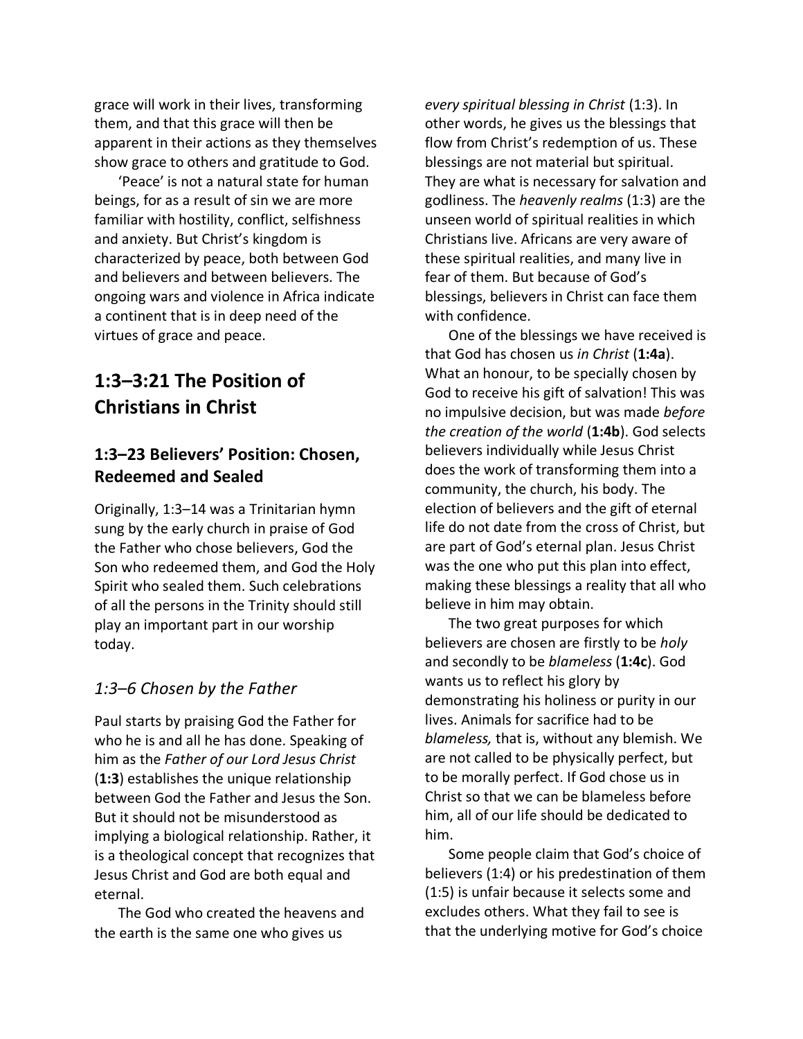grace will work in their lives, transforming them, and that this grace will then be apparent in their actions as they themselves show grace to others and gratitude to God.

'Peace' is not a natural state for human beings, for as a result of sin we are more familiar with hostility, conflict, selfishness and anxiety. But Christ's kingdom is characterized by peace, both between God and believers and between believers. The ongoing wars and violence in Africa indicate a continent that is in deep need of the virtues of grace and peace.

# **1:3–3:21 The Position of Christians in Christ**

# **1:3–23 Believers' Position: Chosen, Redeemed and Sealed**

Originally, 1:3–14 was a Trinitarian hymn sung by the early church in praise of God the Father who chose believers, God the Son who redeemed them, and God the Holy Spirit who sealed them. Such celebrations of all the persons in the Trinity should still play an important part in our worship today.

# *1:3–6 Chosen by the Father*

Paul starts by praising God the Father for who he is and all he has done. Speaking of him as the *Father of our Lord Jesus Christ* (**1:3**) establishes the unique relationship between God the Father and Jesus the Son. But it should not be misunderstood as implying a biological relationship. Rather, it is a theological concept that recognizes that Jesus Christ and God are both equal and eternal.

The God who created the heavens and the earth is the same one who gives us

*every spiritual blessing in Christ* (1:3). In other words, he gives us the blessings that flow from Christ's redemption of us. These blessings are not material but spiritual. They are what is necessary for salvation and godliness. The *heavenly realms* (1:3) are the unseen world of spiritual realities in which Christians live. Africans are very aware of these spiritual realities, and many live in fear of them. But because of God's blessings, believers in Christ can face them with confidence.

One of the blessings we have received is that God has chosen us *in Christ* (**1:4a**). What an honour, to be specially chosen by God to receive his gift of salvation! This was no impulsive decision, but was made *before the creation of the world* (**1:4b**). God selects believers individually while Jesus Christ does the work of transforming them into a community, the church, his body. The election of believers and the gift of eternal life do not date from the cross of Christ, but are part of God's eternal plan. Jesus Christ was the one who put this plan into effect, making these blessings a reality that all who believe in him may obtain.

The two great purposes for which believers are chosen are firstly to be *holy* and secondly to be *blameless* (**1:4c**). God wants us to reflect his glory by demonstrating his holiness or purity in our lives. Animals for sacrifice had to be *blameless,* that is, without any blemish. We are not called to be physically perfect, but to be morally perfect. If God chose us in Christ so that we can be blameless before him, all of our life should be dedicated to him.

Some people claim that God's choice of believers (1:4) or his predestination of them (1:5) is unfair because it selects some and excludes others. What they fail to see is that the underlying motive for God's choice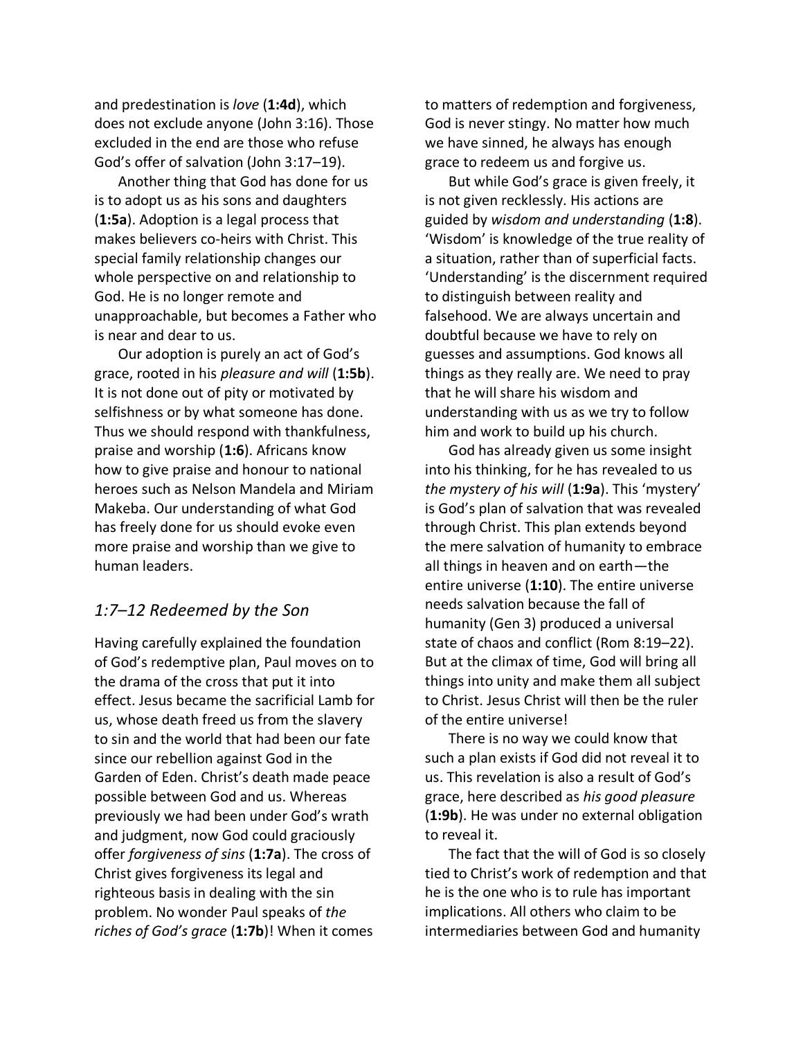and predestination is *love* (**1:4d**), which does not exclude anyone (John 3:16). Those excluded in the end are those who refuse God's offer of salvation (John 3:17–19).

Another thing that God has done for us is to adopt us as his sons and daughters (**1:5a**). Adoption is a legal process that makes believers co-heirs with Christ. This special family relationship changes our whole perspective on and relationship to God. He is no longer remote and unapproachable, but becomes a Father who is near and dear to us.

Our adoption is purely an act of God's grace, rooted in his *pleasure and will* (**1:5b**). It is not done out of pity or motivated by selfishness or by what someone has done. Thus we should respond with thankfulness, praise and worship (**1:6**). Africans know how to give praise and honour to national heroes such as Nelson Mandela and Miriam Makeba. Our understanding of what God has freely done for us should evoke even more praise and worship than we give to human leaders.

### *1:7–12 Redeemed by the Son*

Having carefully explained the foundation of God's redemptive plan, Paul moves on to the drama of the cross that put it into effect. Jesus became the sacrificial Lamb for us, whose death freed us from the slavery to sin and the world that had been our fate since our rebellion against God in the Garden of Eden. Christ's death made peace possible between God and us. Whereas previously we had been under God's wrath and judgment, now God could graciously offer *forgiveness of sins* (**1:7a**). The cross of Christ gives forgiveness its legal and righteous basis in dealing with the sin problem. No wonder Paul speaks of *the riches of God's grace* (**1:7b**)! When it comes

to matters of redemption and forgiveness, God is never stingy. No matter how much we have sinned, he always has enough grace to redeem us and forgive us.

But while God's grace is given freely, it is not given recklessly. His actions are guided by *wisdom and understanding* (**1:8**). 'Wisdom' is knowledge of the true reality of a situation, rather than of superficial facts. 'Understanding' is the discernment required to distinguish between reality and falsehood. We are always uncertain and doubtful because we have to rely on guesses and assumptions. God knows all things as they really are. We need to pray that he will share his wisdom and understanding with us as we try to follow him and work to build up his church.

God has already given us some insight into his thinking, for he has revealed to us *the mystery of his will* (**1:9a**). This 'mystery' is God's plan of salvation that was revealed through Christ. This plan extends beyond the mere salvation of humanity to embrace all things in heaven and on earth—the entire universe (**1:10**). The entire universe needs salvation because the fall of humanity (Gen 3) produced a universal state of chaos and conflict (Rom 8:19–22). But at the climax of time, God will bring all things into unity and make them all subject to Christ. Jesus Christ will then be the ruler of the entire universe!

There is no way we could know that such a plan exists if God did not reveal it to us. This revelation is also a result of God's grace, here described as *his good pleasure* (**1:9b**). He was under no external obligation to reveal it.

The fact that the will of God is so closely tied to Christ's work of redemption and that he is the one who is to rule has important implications. All others who claim to be intermediaries between God and humanity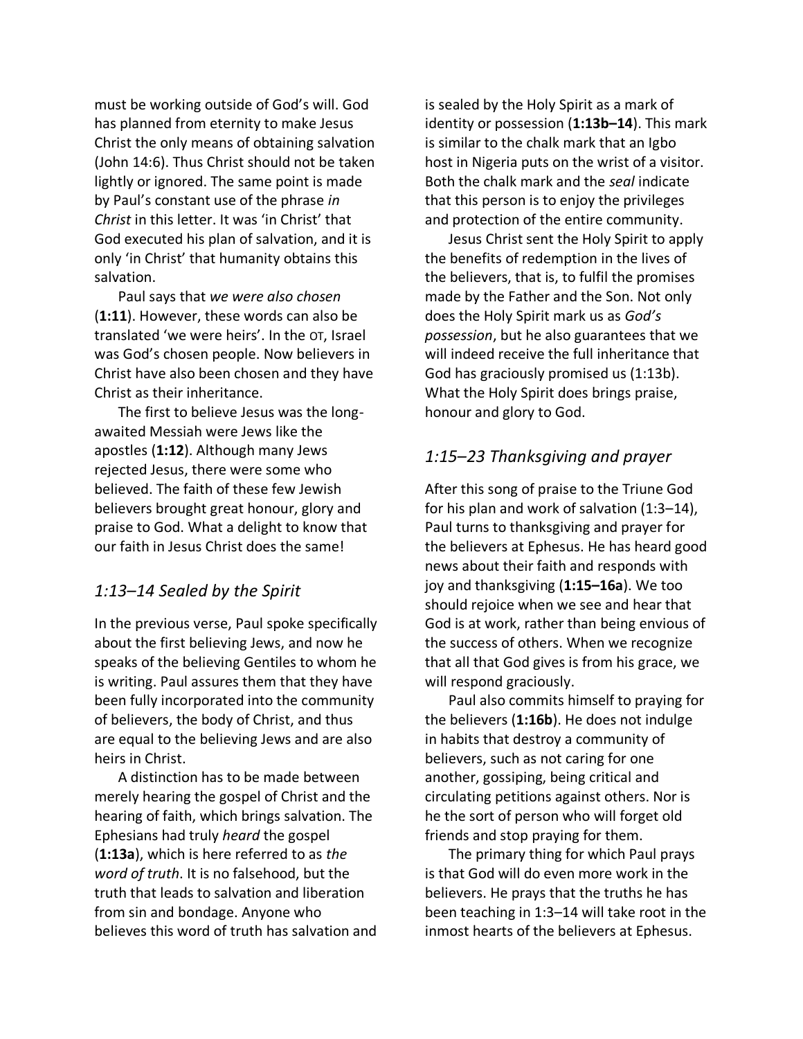must be working outside of God's will. God has planned from eternity to make Jesus Christ the only means of obtaining salvation (John 14:6). Thus Christ should not be taken lightly or ignored. The same point is made by Paul's constant use of the phrase *in Christ* in this letter. It was 'in Christ' that God executed his plan of salvation, and it is only 'in Christ' that humanity obtains this salvation.

Paul says that *we were also chosen* (**1:11**). However, these words can also be translated 'we were heirs'. In the OT, Israel was God's chosen people. Now believers in Christ have also been chosen and they have Christ as their inheritance.

The first to believe Jesus was the longawaited Messiah were Jews like the apostles (**1:12**). Although many Jews rejected Jesus, there were some who believed. The faith of these few Jewish believers brought great honour, glory and praise to God. What a delight to know that our faith in Jesus Christ does the same!

### *1:13–14 Sealed by the Spirit*

In the previous verse, Paul spoke specifically about the first believing Jews, and now he speaks of the believing Gentiles to whom he is writing. Paul assures them that they have been fully incorporated into the community of believers, the body of Christ, and thus are equal to the believing Jews and are also heirs in Christ.

A distinction has to be made between merely hearing the gospel of Christ and the hearing of faith, which brings salvation. The Ephesians had truly *heard* the gospel (**1:13a**), which is here referred to as *the word of truth*. It is no falsehood, but the truth that leads to salvation and liberation from sin and bondage. Anyone who believes this word of truth has salvation and is sealed by the Holy Spirit as a mark of identity or possession (**1:13b–14**). This mark is similar to the chalk mark that an Igbo host in Nigeria puts on the wrist of a visitor. Both the chalk mark and the *seal* indicate that this person is to enjoy the privileges and protection of the entire community.

Jesus Christ sent the Holy Spirit to apply the benefits of redemption in the lives of the believers, that is, to fulfil the promises made by the Father and the Son. Not only does the Holy Spirit mark us as *God's possession*, but he also guarantees that we will indeed receive the full inheritance that God has graciously promised us (1:13b). What the Holy Spirit does brings praise, honour and glory to God.

### *1:15–23 Thanksgiving and prayer*

After this song of praise to the Triune God for his plan and work of salvation (1:3–14), Paul turns to thanksgiving and prayer for the believers at Ephesus. He has heard good news about their faith and responds with joy and thanksgiving (**1:15–16a**). We too should rejoice when we see and hear that God is at work, rather than being envious of the success of others. When we recognize that all that God gives is from his grace, we will respond graciously.

Paul also commits himself to praying for the believers (**1:16b**). He does not indulge in habits that destroy a community of believers, such as not caring for one another, gossiping, being critical and circulating petitions against others. Nor is he the sort of person who will forget old friends and stop praying for them.

The primary thing for which Paul prays is that God will do even more work in the believers. He prays that the truths he has been teaching in 1:3–14 will take root in the inmost hearts of the believers at Ephesus.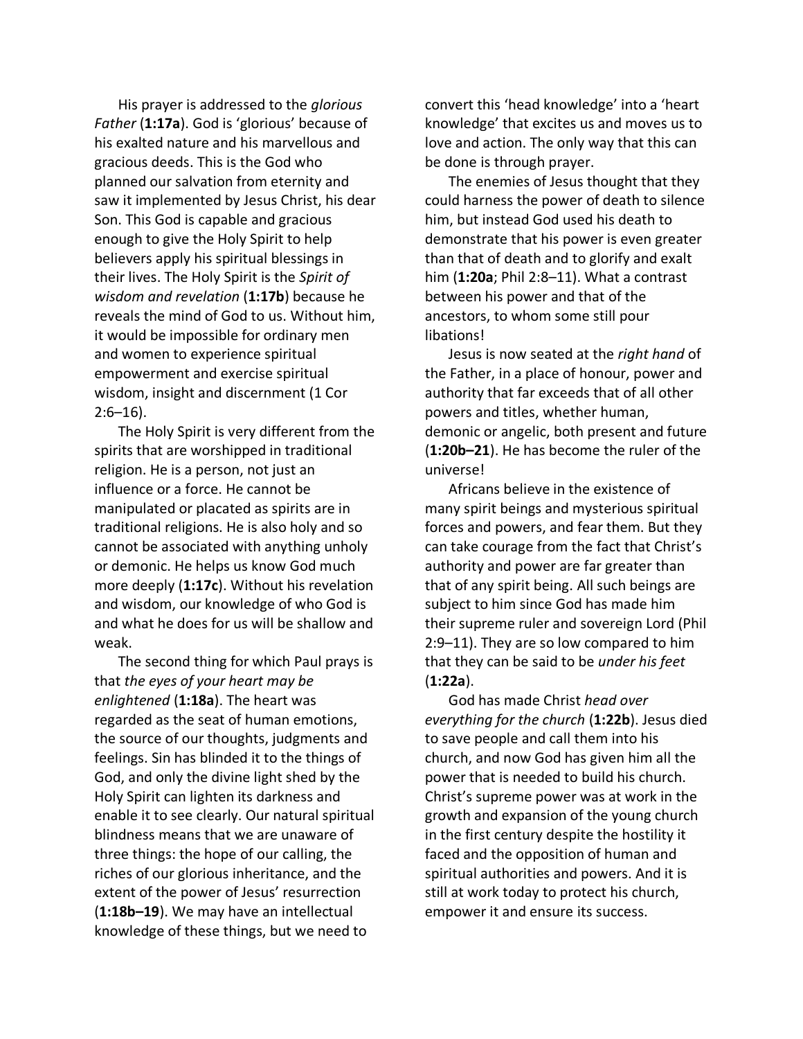His prayer is addressed to the *glorious Father* (**1:17a**). God is 'glorious' because of his exalted nature and his marvellous and gracious deeds. This is the God who planned our salvation from eternity and saw it implemented by Jesus Christ, his dear Son. This God is capable and gracious enough to give the Holy Spirit to help believers apply his spiritual blessings in their lives. The Holy Spirit is the *Spirit of wisdom and revelation* (**1:17b**) because he reveals the mind of God to us. Without him, it would be impossible for ordinary men and women to experience spiritual empowerment and exercise spiritual wisdom, insight and discernment (1 Cor  $2:6-16$ ).

The Holy Spirit is very different from the spirits that are worshipped in traditional religion. He is a person, not just an influence or a force. He cannot be manipulated or placated as spirits are in traditional religions. He is also holy and so cannot be associated with anything unholy or demonic. He helps us know God much more deeply (**1:17c**). Without his revelation and wisdom, our knowledge of who God is and what he does for us will be shallow and weak.

The second thing for which Paul prays is that *the eyes of your heart may be enlightened* (**1:18a**). The heart was regarded as the seat of human emotions, the source of our thoughts, judgments and feelings. Sin has blinded it to the things of God, and only the divine light shed by the Holy Spirit can lighten its darkness and enable it to see clearly. Our natural spiritual blindness means that we are unaware of three things: the hope of our calling, the riches of our glorious inheritance, and the extent of the power of Jesus' resurrection (**1:18b–19**). We may have an intellectual knowledge of these things, but we need to

convert this 'head knowledge' into a 'heart knowledge' that excites us and moves us to love and action. The only way that this can be done is through prayer.

The enemies of Jesus thought that they could harness the power of death to silence him, but instead God used his death to demonstrate that his power is even greater than that of death and to glorify and exalt him (**1:20a**; Phil 2:8–11). What a contrast between his power and that of the ancestors, to whom some still pour libations!

Jesus is now seated at the *right hand* of the Father, in a place of honour, power and authority that far exceeds that of all other powers and titles, whether human, demonic or angelic, both present and future (**1:20b–21**). He has become the ruler of the universe!

Africans believe in the existence of many spirit beings and mysterious spiritual forces and powers, and fear them. But they can take courage from the fact that Christ's authority and power are far greater than that of any spirit being. All such beings are subject to him since God has made him their supreme ruler and sovereign Lord (Phil 2:9–11). They are so low compared to him that they can be said to be *under his feet* (**1:22a**).

God has made Christ *head over everything for the church* (**1:22b**). Jesus died to save people and call them into his church, and now God has given him all the power that is needed to build his church. Christ's supreme power was at work in the growth and expansion of the young church in the first century despite the hostility it faced and the opposition of human and spiritual authorities and powers. And it is still at work today to protect his church, empower it and ensure its success.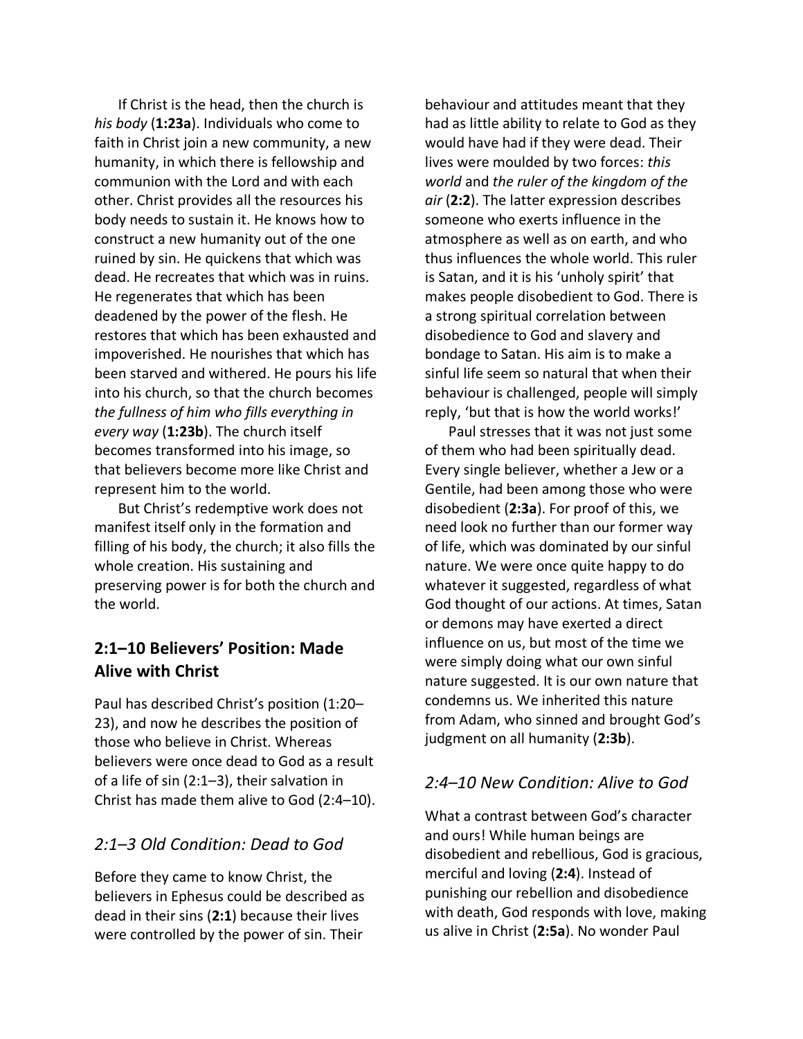If Christ is the head, then the church is *his body* (**1:23a**). Individuals who come to faith in Christ join a new community, a new humanity, in which there is fellowship and communion with the Lord and with each other. Christ provides all the resources his body needs to sustain it. He knows how to construct a new humanity out of the one ruined by sin. He quickens that which was dead. He recreates that which was in ruins. He regenerates that which has been deadened by the power of the flesh. He restores that which has been exhausted and impoverished. He nourishes that which has been starved and withered. He pours his life into his church, so that the church becomes *the fullness of him who fills everything in every way* (**1:23b**). The church itself becomes transformed into his image, so that believers become more like Christ and represent him to the world.

But Christ's redemptive work does not manifest itself only in the formation and filling of his body, the church; it also fills the whole creation. His sustaining and preserving power is for both the church and the world.

# **2:1–10 Believers' Position: Made Alive with Christ**

Paul has described Christ's position (1:20– 23), and now he describes the position of those who believe in Christ. Whereas believers were once dead to God as a result of a life of sin (2:1–3), their salvation in Christ has made them alive to God (2:4–10).

# *2:1–3 Old Condition: Dead to God*

Before they came to know Christ, the believers in Ephesus could be described as dead in their sins (**2:1**) because their lives were controlled by the power of sin. Their

behaviour and attitudes meant that they had as little ability to relate to God as they would have had if they were dead. Their lives were moulded by two forces: *this world* and *the ruler of the kingdom of the air* (**2:2**). The latter expression describes someone who exerts influence in the atmosphere as well as on earth, and who thus influences the whole world. This ruler is Satan, and it is his 'unholy spirit' that makes people disobedient to God. There is a strong spiritual correlation between disobedience to God and slavery and bondage to Satan. His aim is to make a sinful life seem so natural that when their behaviour is challenged, people will simply reply, 'but that is how the world works!'

Paul stresses that it was not just some of them who had been spiritually dead. Every single believer, whether a Jew or a Gentile, had been among those who were disobedient (**2:3a**). For proof of this, we need look no further than our former way of life, which was dominated by our sinful nature. We were once quite happy to do whatever it suggested, regardless of what God thought of our actions. At times, Satan or demons may have exerted a direct influence on us, but most of the time we were simply doing what our own sinful nature suggested. It is our own nature that condemns us. We inherited this nature from Adam, who sinned and brought God's judgment on all humanity (**2:3b**).

# *2:4–10 New Condition: Alive to God*

What a contrast between God's character and ours! While human beings are disobedient and rebellious, God is gracious, merciful and loving (**2:4**). Instead of punishing our rebellion and disobedience with death, God responds with love, making us alive in Christ (**2:5a**). No wonder Paul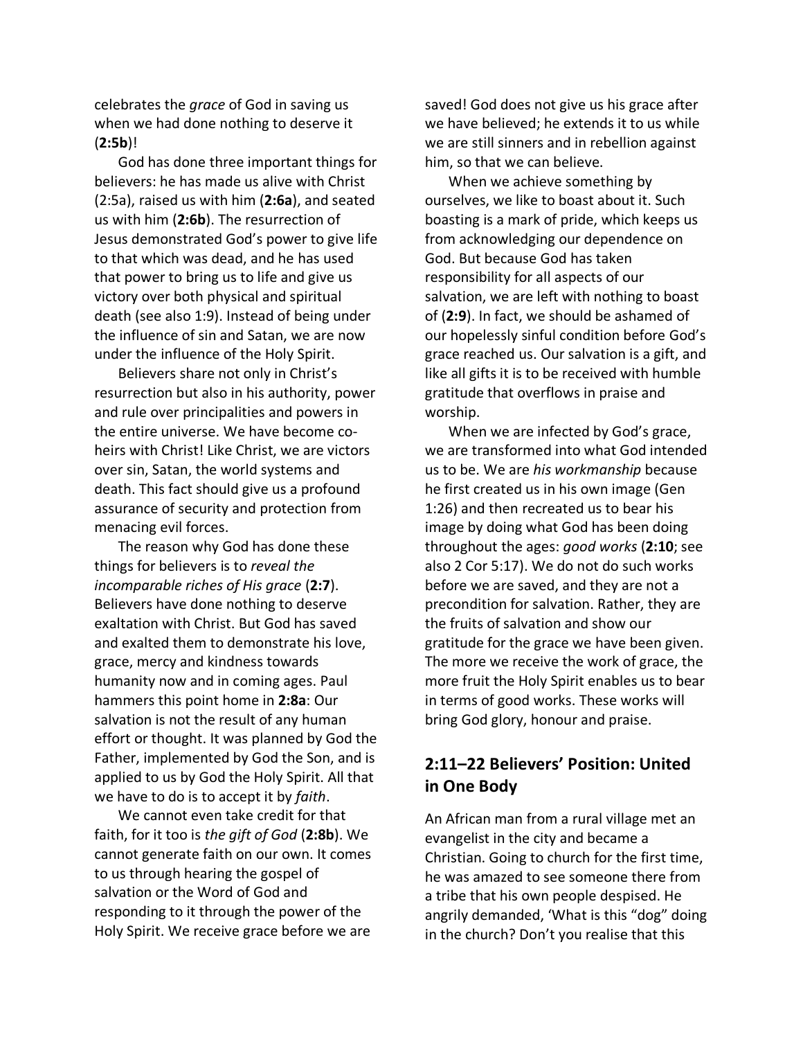celebrates the *grace* of God in saving us when we had done nothing to deserve it (**2:5b**)!

God has done three important things for believers: he has made us alive with Christ (2:5a), raised us with him (**2:6a**), and seated us with him (**2:6b**). The resurrection of Jesus demonstrated God's power to give life to that which was dead, and he has used that power to bring us to life and give us victory over both physical and spiritual death (see also 1:9). Instead of being under the influence of sin and Satan, we are now under the influence of the Holy Spirit.

Believers share not only in Christ's resurrection but also in his authority, power and rule over principalities and powers in the entire universe. We have become coheirs with Christ! Like Christ, we are victors over sin, Satan, the world systems and death. This fact should give us a profound assurance of security and protection from menacing evil forces.

The reason why God has done these things for believers is to *reveal the incomparable riches of His grace* (**2:7**). Believers have done nothing to deserve exaltation with Christ. But God has saved and exalted them to demonstrate his love, grace, mercy and kindness towards humanity now and in coming ages. Paul hammers this point home in **2:8a**: Our salvation is not the result of any human effort or thought. It was planned by God the Father, implemented by God the Son, and is applied to us by God the Holy Spirit. All that we have to do is to accept it by *faith*.

We cannot even take credit for that faith, for it too is *the gift of God* (**2:8b**). We cannot generate faith on our own. It comes to us through hearing the gospel of salvation or the Word of God and responding to it through the power of the Holy Spirit. We receive grace before we are saved! God does not give us his grace after we have believed; he extends it to us while we are still sinners and in rebellion against him, so that we can believe.

When we achieve something by ourselves, we like to boast about it. Such boasting is a mark of pride, which keeps us from acknowledging our dependence on God. But because God has taken responsibility for all aspects of our salvation, we are left with nothing to boast of (**2:9**). In fact, we should be ashamed of our hopelessly sinful condition before God's grace reached us. Our salvation is a gift, and like all gifts it is to be received with humble gratitude that overflows in praise and worship.

When we are infected by God's grace, we are transformed into what God intended us to be. We are *his workmanship* because he first created us in his own image (Gen 1:26) and then recreated us to bear his image by doing what God has been doing throughout the ages: *good works* (**2:10**; see also 2 Cor 5:17). We do not do such works before we are saved, and they are not a precondition for salvation. Rather, they are the fruits of salvation and show our gratitude for the grace we have been given. The more we receive the work of grace, the more fruit the Holy Spirit enables us to bear in terms of good works. These works will bring God glory, honour and praise.

# **2:11–22 Believers' Position: United in One Body**

An African man from a rural village met an evangelist in the city and became a Christian. Going to church for the first time, he was amazed to see someone there from a tribe that his own people despised. He angrily demanded, 'What is this "dog" doing in the church? Don't you realise that this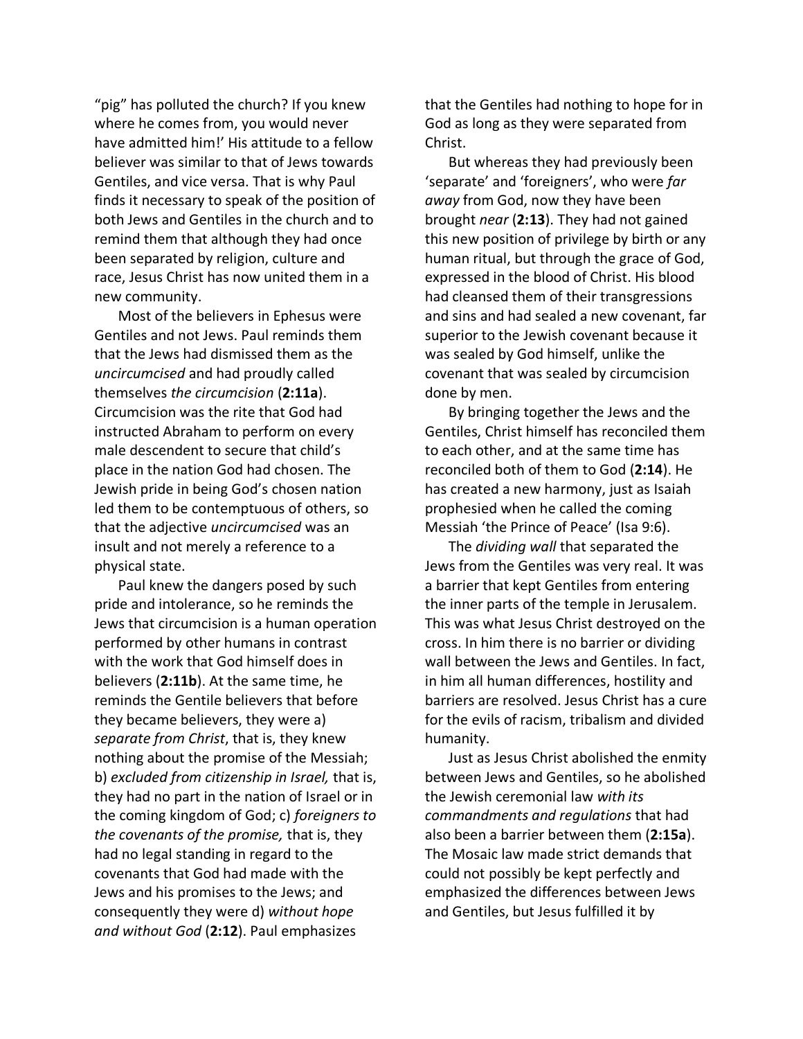"pig" has polluted the church? If you knew where he comes from, you would never have admitted him!' His attitude to a fellow believer was similar to that of Jews towards Gentiles, and vice versa. That is why Paul finds it necessary to speak of the position of both Jews and Gentiles in the church and to remind them that although they had once been separated by religion, culture and race, Jesus Christ has now united them in a new community.

Most of the believers in Ephesus were Gentiles and not Jews. Paul reminds them that the Jews had dismissed them as the *uncircumcised* and had proudly called themselves *the circumcision* (**2:11a**). Circumcision was the rite that God had instructed Abraham to perform on every male descendent to secure that child's place in the nation God had chosen. The Jewish pride in being God's chosen nation led them to be contemptuous of others, so that the adjective *uncircumcised* was an insult and not merely a reference to a physical state.

Paul knew the dangers posed by such pride and intolerance, so he reminds the Jews that circumcision is a human operation performed by other humans in contrast with the work that God himself does in believers (**2:11b**). At the same time, he reminds the Gentile believers that before they became believers, they were a) *separate from Christ*, that is, they knew nothing about the promise of the Messiah; b) *excluded from citizenship in Israel,* that is, they had no part in the nation of Israel or in the coming kingdom of God; c) *foreigners to the covenants of the promise,* that is, they had no legal standing in regard to the covenants that God had made with the Jews and his promises to the Jews; and consequently they were d) *without hope and without God* (**2:12**). Paul emphasizes

that the Gentiles had nothing to hope for in God as long as they were separated from Christ.

But whereas they had previously been 'separate' and 'foreigners', who were *far away* from God, now they have been brought *near* (**2:13**). They had not gained this new position of privilege by birth or any human ritual, but through the grace of God, expressed in the blood of Christ. His blood had cleansed them of their transgressions and sins and had sealed a new covenant, far superior to the Jewish covenant because it was sealed by God himself, unlike the covenant that was sealed by circumcision done by men.

By bringing together the Jews and the Gentiles, Christ himself has reconciled them to each other, and at the same time has reconciled both of them to God (**2:14**). He has created a new harmony, just as Isaiah prophesied when he called the coming Messiah 'the Prince of Peace' (Isa 9:6).

The *dividing wall* that separated the Jews from the Gentiles was very real. It was a barrier that kept Gentiles from entering the inner parts of the temple in Jerusalem. This was what Jesus Christ destroyed on the cross. In him there is no barrier or dividing wall between the Jews and Gentiles. In fact, in him all human differences, hostility and barriers are resolved. Jesus Christ has a cure for the evils of racism, tribalism and divided humanity.

Just as Jesus Christ abolished the enmity between Jews and Gentiles, so he abolished the Jewish ceremonial law *with its commandments and regulations* that had also been a barrier between them (**2:15a**). The Mosaic law made strict demands that could not possibly be kept perfectly and emphasized the differences between Jews and Gentiles, but Jesus fulfilled it by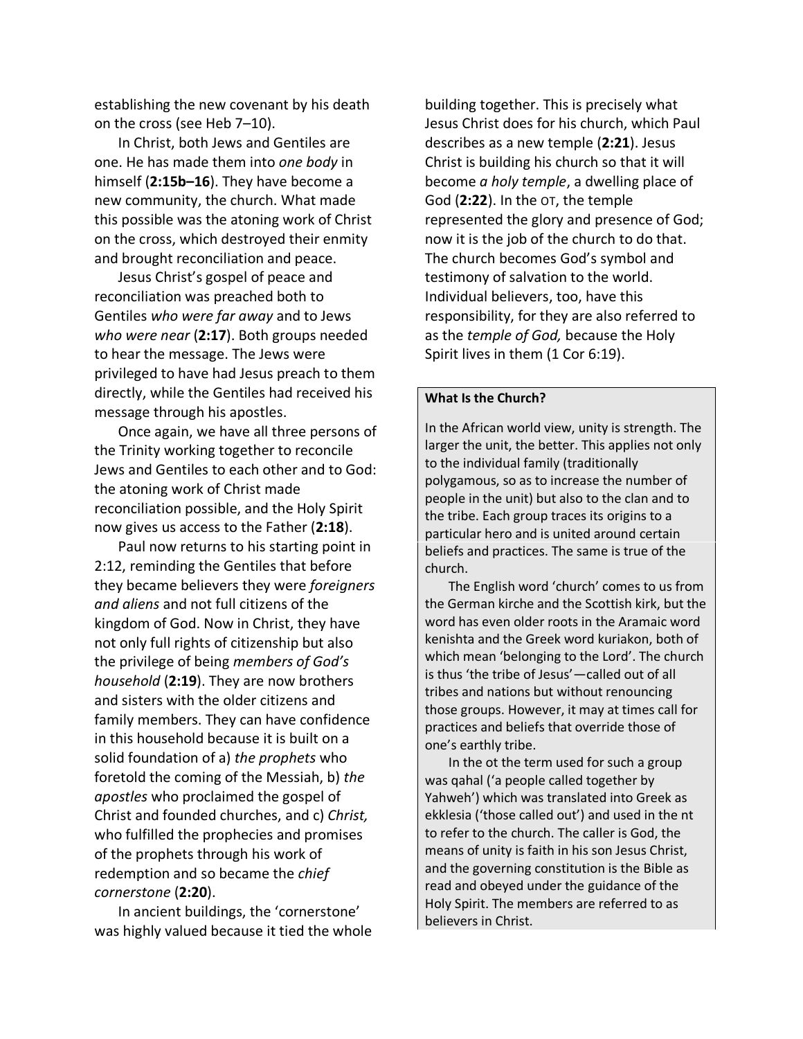establishing the new covenant by his death on the cross (see Heb 7–10).

In Christ, both Jews and Gentiles are one. He has made them into *one body* in himself (**2:15b–16**). They have become a new community, the church. What made this possible was the atoning work of Christ on the cross, which destroyed their enmity and brought reconciliation and peace.

Jesus Christ's gospel of peace and reconciliation was preached both to Gentiles *who were far away* and to Jews *who were near* (**2:17**). Both groups needed to hear the message. The Jews were privileged to have had Jesus preach to them directly, while the Gentiles had received his message through his apostles.

Once again, we have all three persons of the Trinity working together to reconcile Jews and Gentiles to each other and to God: the atoning work of Christ made reconciliation possible, and the Holy Spirit now gives us access to the Father (**2:18**).

Paul now returns to his starting point in 2:12, reminding the Gentiles that before they became believers they were *foreigners and aliens* and not full citizens of the kingdom of God. Now in Christ, they have not only full rights of citizenship but also the privilege of being *members of God's household* (**2:19**). They are now brothers and sisters with the older citizens and family members. They can have confidence in this household because it is built on a solid foundation of a) *the prophets* who foretold the coming of the Messiah, b) *the apostles* who proclaimed the gospel of Christ and founded churches, and c) *Christ,* who fulfilled the prophecies and promises of the prophets through his work of redemption and so became the *chief cornerstone* (**2:20**).

In ancient buildings, the 'cornerstone' was highly valued because it tied the whole building together. This is precisely what Jesus Christ does for his church, which Paul describes as a new temple (**2:21**). Jesus Christ is building his church so that it will become *a holy temple*, a dwelling place of God (**2:22**). In the OT, the temple represented the glory and presence of God; now it is the job of the church to do that. The church becomes God's symbol and testimony of salvation to the world. Individual believers, too, have this responsibility, for they are also referred to as the *temple of God,* because the Holy Spirit lives in them (1 Cor 6:19).

#### **What Is the Church?**

In the African world view, unity is strength. The larger the unit, the better. This applies not only to the individual family (traditionally polygamous, so as to increase the number of people in the unit) but also to the clan and to the tribe. Each group traces its origins to a particular hero and is united around certain beliefs and practices. The same is true of the church.

The English word 'church' comes to us from the German kirche and the Scottish kirk, but the word has even older roots in the Aramaic word kenishta and the Greek word kuriakon, both of which mean 'belonging to the Lord'. The church is thus 'the tribe of Jesus'—called out of all tribes and nations but without renouncing those groups. However, it may at times call for practices and beliefs that override those of one's earthly tribe.

In the ot the term used for such a group was qahal ('a people called together by Yahweh') which was translated into Greek as ekklesia ('those called out') and used in the nt to refer to the church. The caller is God, the means of unity is faith in his son Jesus Christ, and the governing constitution is the Bible as read and obeyed under the guidance of the Holy Spirit. The members are referred to as believers in Christ.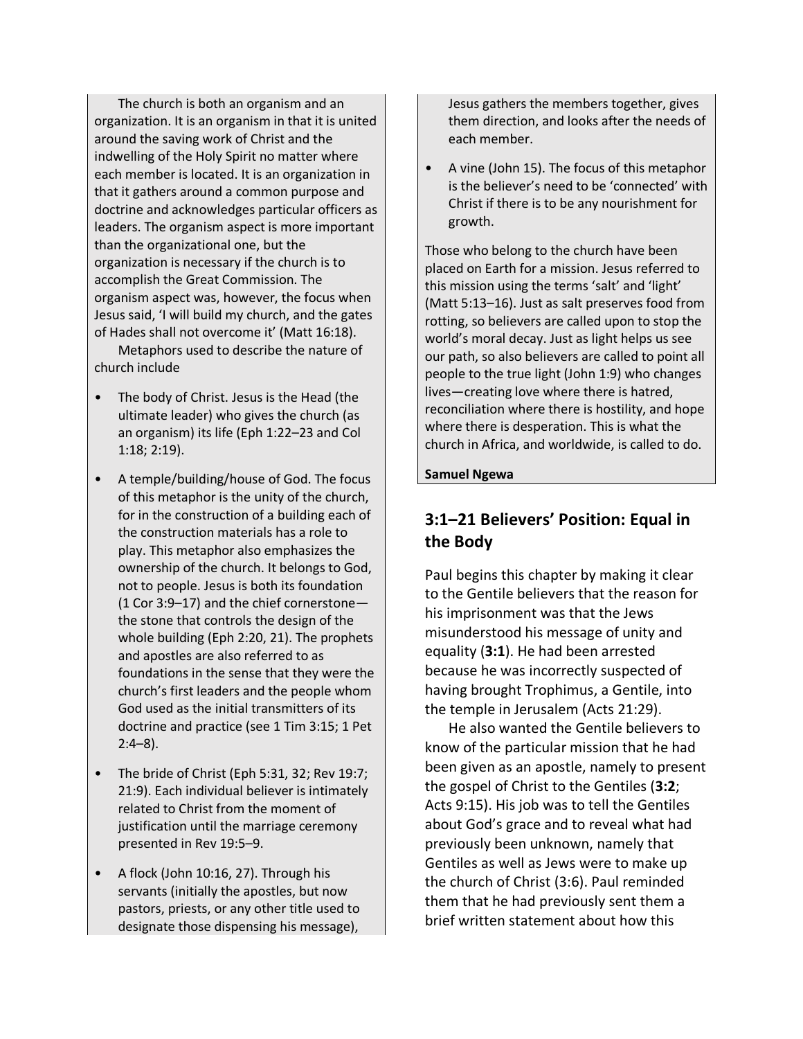The church is both an organism and an organization. It is an organism in that it is united around the saving work of Christ and the indwelling of the Holy Spirit no matter where each member is located. It is an organization in that it gathers around a common purpose and doctrine and acknowledges particular officers as leaders. The organism aspect is more important than the organizational one, but the organization is necessary if the church is to accomplish the Great Commission. The organism aspect was, however, the focus when Jesus said, 'I will build my church, and the gates of Hades shall not overcome it' (Matt 16:18).

Metaphors used to describe the nature of church include

- The body of Christ. Jesus is the Head (the ultimate leader) who gives the church (as an organism) its life (Eph 1:22–23 and Col 1:18; 2:19).
- A temple/building/house of God. The focus of this metaphor is the unity of the church, for in the construction of a building each of the construction materials has a role to play. This metaphor also emphasizes the ownership of the church. It belongs to God, not to people. Jesus is both its foundation (1 Cor 3:9–17) and the chief cornerstone the stone that controls the design of the whole building (Eph 2:20, 21). The prophets and apostles are also referred to as foundations in the sense that they were the church's first leaders and the people whom God used as the initial transmitters of its doctrine and practice (see 1 Tim 3:15; 1 Pet 2:4–8).
- The bride of Christ (Eph 5:31, 32; Rev 19:7; 21:9). Each individual believer is intimately related to Christ from the moment of justification until the marriage ceremony presented in Rev 19:5–9.
- A flock (John 10:16, 27). Through his servants (initially the apostles, but now pastors, priests, or any other title used to designate those dispensing his message),

Jesus gathers the members together, gives them direction, and looks after the needs of each member.

• A vine (John 15). The focus of this metaphor is the believer's need to be 'connected' with Christ if there is to be any nourishment for growth.

Those who belong to the church have been placed on Earth for a mission. Jesus referred to this mission using the terms 'salt' and 'light' (Matt 5:13–16). Just as salt preserves food from rotting, so believers are called upon to stop the world's moral decay. Just as light helps us see our path, so also believers are called to point all people to the true light (John 1:9) who changes lives—creating love where there is hatred, reconciliation where there is hostility, and hope where there is desperation. This is what the church in Africa, and worldwide, is called to do.

#### **Samuel Ngewa**

# **3:1–21 Believers' Position: Equal in the Body**

Paul begins this chapter by making it clear to the Gentile believers that the reason for his imprisonment was that the Jews misunderstood his message of unity and equality (**3:1**). He had been arrested because he was incorrectly suspected of having brought Trophimus, a Gentile, into the temple in Jerusalem (Acts 21:29).

He also wanted the Gentile believers to know of the particular mission that he had been given as an apostle, namely to present the gospel of Christ to the Gentiles (**3:2**; Acts 9:15). His job was to tell the Gentiles about God's grace and to reveal what had previously been unknown, namely that Gentiles as well as Jews were to make up the church of Christ (3:6). Paul reminded them that he had previously sent them a brief written statement about how this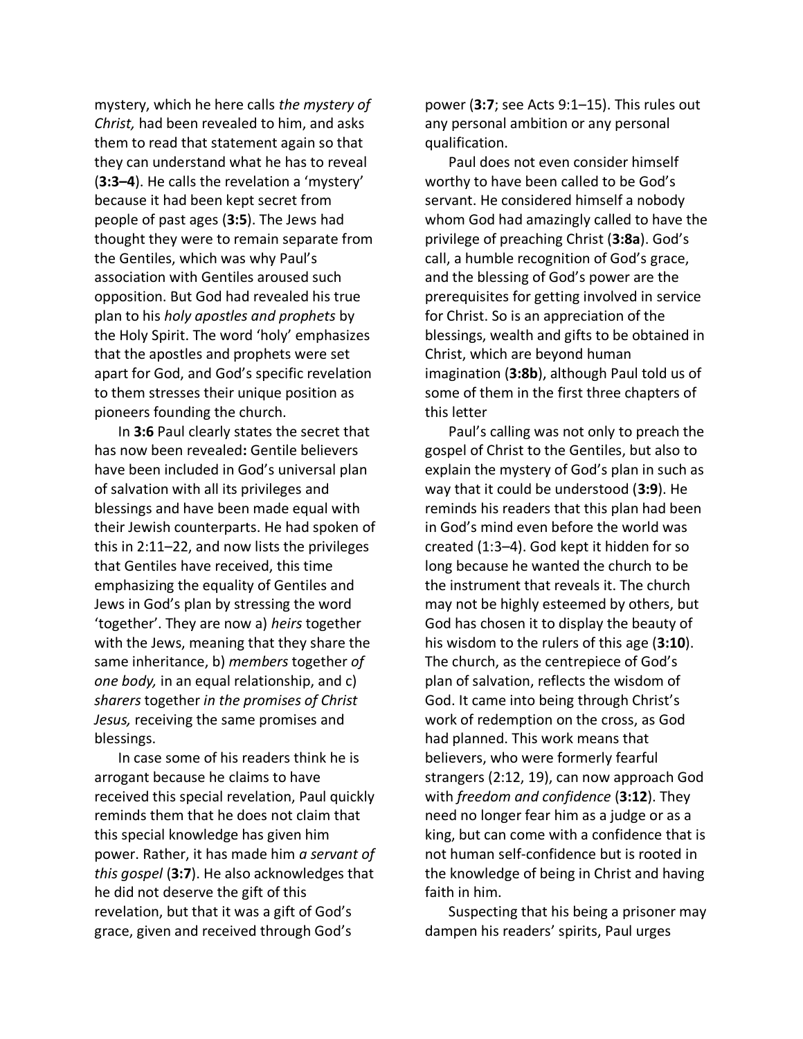mystery, which he here calls *the mystery of Christ,* had been revealed to him, and asks them to read that statement again so that they can understand what he has to reveal (**3:3–4**). He calls the revelation a 'mystery' because it had been kept secret from people of past ages (**3:5**). The Jews had thought they were to remain separate from the Gentiles, which was why Paul's association with Gentiles aroused such opposition. But God had revealed his true plan to his *holy apostles and prophets* by the Holy Spirit. The word 'holy' emphasizes that the apostles and prophets were set apart for God, and God's specific revelation to them stresses their unique position as pioneers founding the church.

In **3:6** Paul clearly states the secret that has now been revealed**:** Gentile believers have been included in God's universal plan of salvation with all its privileges and blessings and have been made equal with their Jewish counterparts. He had spoken of this in 2:11–22, and now lists the privileges that Gentiles have received, this time emphasizing the equality of Gentiles and Jews in God's plan by stressing the word 'together'. They are now a) *heirs* together with the Jews, meaning that they share the same inheritance, b) *members* together *of one body,* in an equal relationship, and c) *sharers* together *in the promises of Christ Jesus,* receiving the same promises and blessings.

In case some of his readers think he is arrogant because he claims to have received this special revelation, Paul quickly reminds them that he does not claim that this special knowledge has given him power. Rather, it has made him *a servant of this gospel* (**3:7**). He also acknowledges that he did not deserve the gift of this revelation, but that it was a gift of God's grace, given and received through God's

power (**3:7**; see Acts 9:1–15). This rules out any personal ambition or any personal qualification.

Paul does not even consider himself worthy to have been called to be God's servant. He considered himself a nobody whom God had amazingly called to have the privilege of preaching Christ (**3:8a**). God's call, a humble recognition of God's grace, and the blessing of God's power are the prerequisites for getting involved in service for Christ. So is an appreciation of the blessings, wealth and gifts to be obtained in Christ, which are beyond human imagination (**3:8b**), although Paul told us of some of them in the first three chapters of this letter

Paul's calling was not only to preach the gospel of Christ to the Gentiles, but also to explain the mystery of God's plan in such as way that it could be understood (**3:9**). He reminds his readers that this plan had been in God's mind even before the world was created (1:3–4). God kept it hidden for so long because he wanted the church to be the instrument that reveals it. The church may not be highly esteemed by others, but God has chosen it to display the beauty of his wisdom to the rulers of this age (**3:10**). The church, as the centrepiece of God's plan of salvation, reflects the wisdom of God. It came into being through Christ's work of redemption on the cross, as God had planned. This work means that believers, who were formerly fearful strangers (2:12, 19), can now approach God with *freedom and confidence* (**3:12**). They need no longer fear him as a judge or as a king, but can come with a confidence that is not human self-confidence but is rooted in the knowledge of being in Christ and having faith in him.

Suspecting that his being a prisoner may dampen his readers' spirits, Paul urges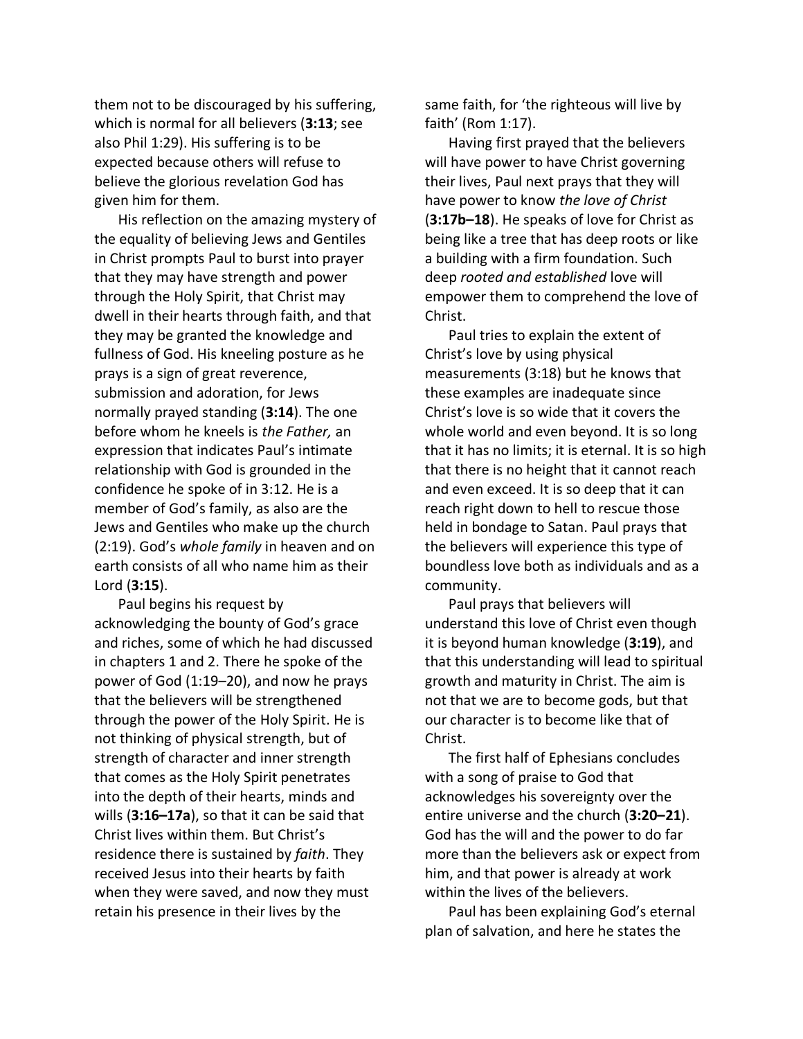them not to be discouraged by his suffering, which is normal for all believers (**3:13**; see also Phil 1:29). His suffering is to be expected because others will refuse to believe the glorious revelation God has given him for them.

His reflection on the amazing mystery of the equality of believing Jews and Gentiles in Christ prompts Paul to burst into prayer that they may have strength and power through the Holy Spirit, that Christ may dwell in their hearts through faith, and that they may be granted the knowledge and fullness of God. His kneeling posture as he prays is a sign of great reverence, submission and adoration, for Jews normally prayed standing (**3:14**). The one before whom he kneels is *the Father,* an expression that indicates Paul's intimate relationship with God is grounded in the confidence he spoke of in 3:12. He is a member of God's family, as also are the Jews and Gentiles who make up the church (2:19). God's *whole family* in heaven and on earth consists of all who name him as their Lord (**3:15**).

Paul begins his request by acknowledging the bounty of God's grace and riches, some of which he had discussed in chapters 1 and 2. There he spoke of the power of God (1:19–20), and now he prays that the believers will be strengthened through the power of the Holy Spirit. He is not thinking of physical strength, but of strength of character and inner strength that comes as the Holy Spirit penetrates into the depth of their hearts, minds and wills (**3:16–17a**), so that it can be said that Christ lives within them. But Christ's residence there is sustained by *faith*. They received Jesus into their hearts by faith when they were saved, and now they must retain his presence in their lives by the

same faith, for 'the righteous will live by faith' (Rom 1:17).

Having first prayed that the believers will have power to have Christ governing their lives, Paul next prays that they will have power to know *the love of Christ* (**3:17b–18**). He speaks of love for Christ as being like a tree that has deep roots or like a building with a firm foundation. Such deep *rooted and established* love will empower them to comprehend the love of Christ.

Paul tries to explain the extent of Christ's love by using physical measurements (3:18) but he knows that these examples are inadequate since Christ's love is so wide that it covers the whole world and even beyond. It is so long that it has no limits; it is eternal. It is so high that there is no height that it cannot reach and even exceed. It is so deep that it can reach right down to hell to rescue those held in bondage to Satan. Paul prays that the believers will experience this type of boundless love both as individuals and as a community.

Paul prays that believers will understand this love of Christ even though it is beyond human knowledge (**3:19**), and that this understanding will lead to spiritual growth and maturity in Christ. The aim is not that we are to become gods, but that our character is to become like that of Christ.

The first half of Ephesians concludes with a song of praise to God that acknowledges his sovereignty over the entire universe and the church (**3:20–21**). God has the will and the power to do far more than the believers ask or expect from him, and that power is already at work within the lives of the believers.

Paul has been explaining God's eternal plan of salvation, and here he states the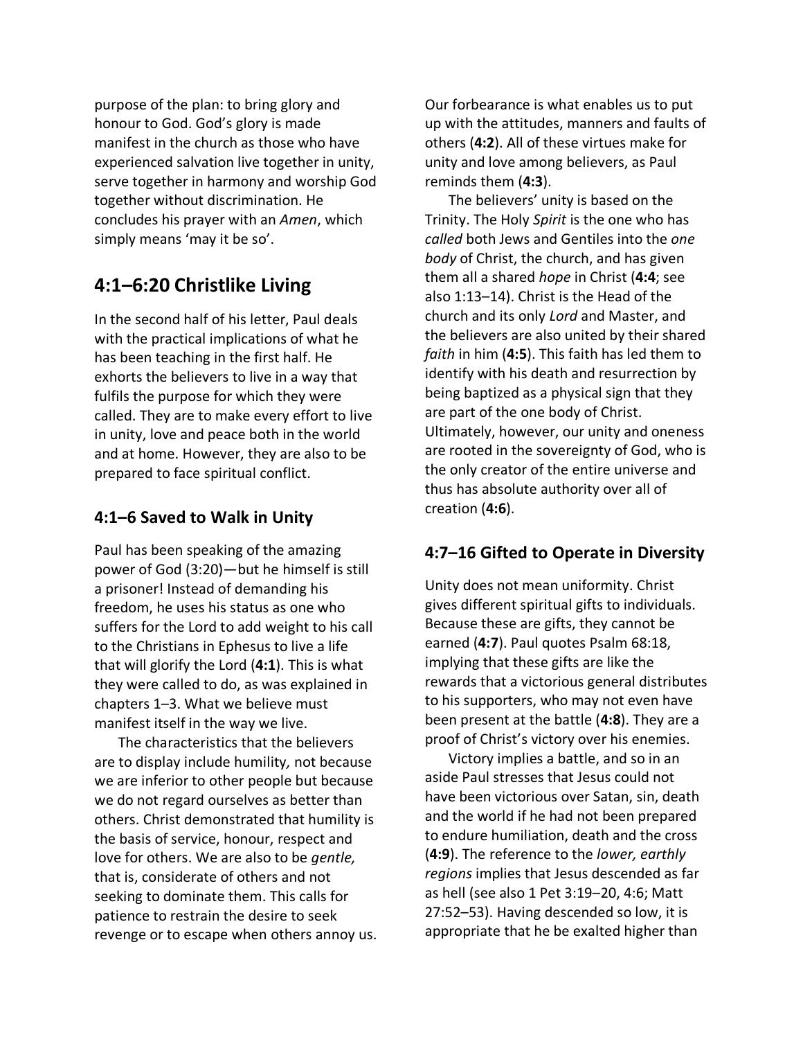purpose of the plan: to bring glory and honour to God. God's glory is made manifest in the church as those who have experienced salvation live together in unity, serve together in harmony and worship God together without discrimination. He concludes his prayer with an *Amen*, which simply means 'may it be so'.

# **4:1–6:20 Christlike Living**

In the second half of his letter, Paul deals with the practical implications of what he has been teaching in the first half. He exhorts the believers to live in a way that fulfils the purpose for which they were called. They are to make every effort to live in unity, love and peace both in the world and at home. However, they are also to be prepared to face spiritual conflict.

# **4:1–6 Saved to Walk in Unity**

Paul has been speaking of the amazing power of God (3:20)—but he himself is still a prisoner! Instead of demanding his freedom, he uses his status as one who suffers for the Lord to add weight to his call to the Christians in Ephesus to live a life that will glorify the Lord (**4:1**). This is what they were called to do, as was explained in chapters 1–3. What we believe must manifest itself in the way we live.

The characteristics that the believers are to display include humility*,* not because we are inferior to other people but because we do not regard ourselves as better than others. Christ demonstrated that humility is the basis of service, honour, respect and love for others. We are also to be *gentle,* that is, considerate of others and not seeking to dominate them. This calls for patience to restrain the desire to seek revenge or to escape when others annoy us. Our forbearance is what enables us to put up with the attitudes, manners and faults of others (**4:2**). All of these virtues make for unity and love among believers, as Paul reminds them (**4:3**).

The believers' unity is based on the Trinity. The Holy *Spirit* is the one who has *called* both Jews and Gentiles into the *one body* of Christ, the church, and has given them all a shared *hope* in Christ (**4:4**; see also 1:13–14). Christ is the Head of the church and its only *Lord* and Master, and the believers are also united by their shared *faith* in him (**4:5**). This faith has led them to identify with his death and resurrection by being baptized as a physical sign that they are part of the one body of Christ. Ultimately, however, our unity and oneness are rooted in the sovereignty of God, who is the only creator of the entire universe and thus has absolute authority over all of creation (**4:6**).

### **4:7–16 Gifted to Operate in Diversity**

Unity does not mean uniformity. Christ gives different spiritual gifts to individuals. Because these are gifts, they cannot be earned (**4:7**). Paul quotes Psalm 68:18, implying that these gifts are like the rewards that a victorious general distributes to his supporters, who may not even have been present at the battle (**4:8**). They are a proof of Christ's victory over his enemies.

Victory implies a battle, and so in an aside Paul stresses that Jesus could not have been victorious over Satan, sin, death and the world if he had not been prepared to endure humiliation, death and the cross (**4:9**). The reference to the *lower, earthly regions* implies that Jesus descended as far as hell (see also 1 Pet 3:19–20, 4:6; Matt 27:52–53). Having descended so low, it is appropriate that he be exalted higher than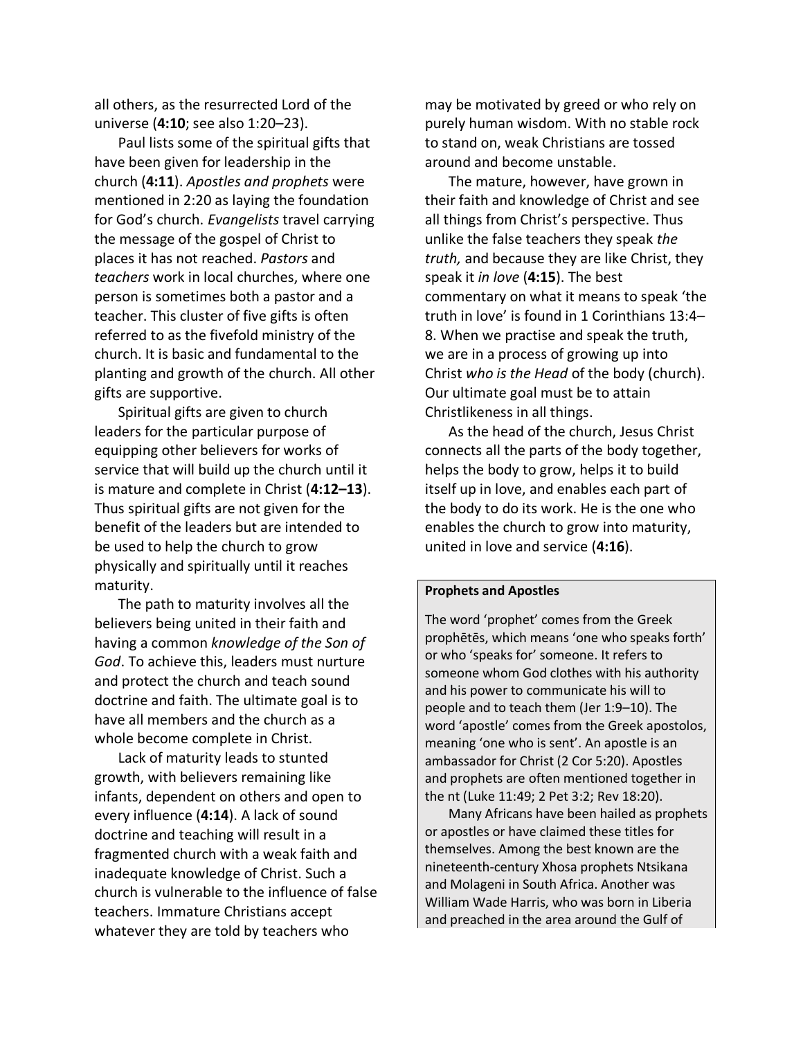all others, as the resurrected Lord of the universe (**4:10**; see also 1:20–23).

Paul lists some of the spiritual gifts that have been given for leadership in the church (**4:11**). *Apostles and prophets* were mentioned in 2:20 as laying the foundation for God's church. *Evangelists* travel carrying the message of the gospel of Christ to places it has not reached. *Pastors* and *teachers* work in local churches, where one person is sometimes both a pastor and a teacher. This cluster of five gifts is often referred to as the fivefold ministry of the church. It is basic and fundamental to the planting and growth of the church. All other gifts are supportive.

Spiritual gifts are given to church leaders for the particular purpose of equipping other believers for works of service that will build up the church until it is mature and complete in Christ (**4:12–13**). Thus spiritual gifts are not given for the benefit of the leaders but are intended to be used to help the church to grow physically and spiritually until it reaches maturity.

The path to maturity involves all the believers being united in their faith and having a common *knowledge of the Son of God*. To achieve this, leaders must nurture and protect the church and teach sound doctrine and faith. The ultimate goal is to have all members and the church as a whole become complete in Christ.

Lack of maturity leads to stunted growth, with believers remaining like infants, dependent on others and open to every influence (**4:14**). A lack of sound doctrine and teaching will result in a fragmented church with a weak faith and inadequate knowledge of Christ. Such a church is vulnerable to the influence of false teachers. Immature Christians accept whatever they are told by teachers who

may be motivated by greed or who rely on purely human wisdom. With no stable rock to stand on, weak Christians are tossed around and become unstable.

The mature, however, have grown in their faith and knowledge of Christ and see all things from Christ's perspective. Thus unlike the false teachers they speak *the truth,* and because they are like Christ, they speak it *in love* (**4:15**). The best commentary on what it means to speak 'the truth in love' is found in 1 Corinthians 13:4– 8. When we practise and speak the truth, we are in a process of growing up into Christ *who is the Head* of the body (church). Our ultimate goal must be to attain Christlikeness in all things.

As the head of the church, Jesus Christ connects all the parts of the body together, helps the body to grow, helps it to build itself up in love, and enables each part of the body to do its work. He is the one who enables the church to grow into maturity, united in love and service (**4:16**).

#### **Prophets and Apostles**

The word 'prophet' comes from the Greek prophētēs, which means 'one who speaks forth' or who 'speaks for' someone. It refers to someone whom God clothes with his authority and his power to communicate his will to people and to teach them (Jer 1:9–10). The word 'apostle' comes from the Greek apostolos, meaning 'one who is sent'. An apostle is an ambassador for Christ (2 Cor 5:20). Apostles and prophets are often mentioned together in the nt (Luke 11:49; 2 Pet 3:2; Rev 18:20).

Many Africans have been hailed as prophets or apostles or have claimed these titles for themselves. Among the best known are the nineteenth-century Xhosa prophets Ntsikana and Molageni in South Africa. Another was William Wade Harris, who was born in Liberia and preached in the area around the Gulf of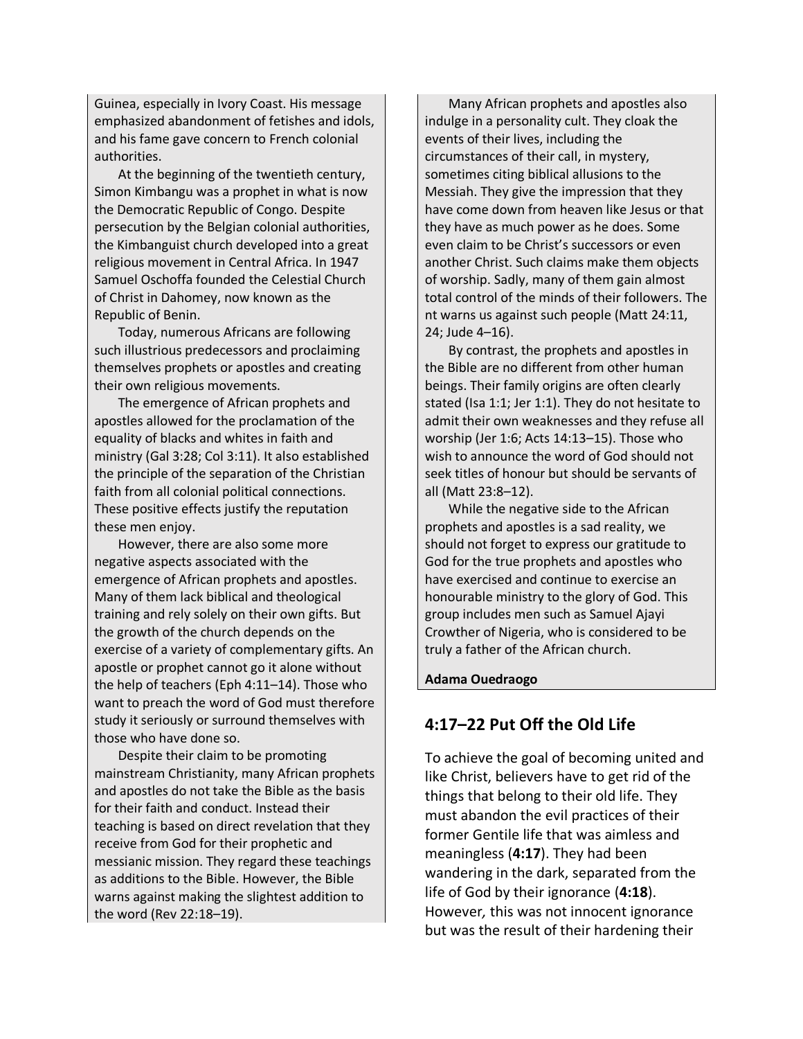Guinea, especially in Ivory Coast. His message emphasized abandonment of fetishes and idols, and his fame gave concern to French colonial authorities.

At the beginning of the twentieth century, Simon Kimbangu was a prophet in what is now the Democratic Republic of Congo. Despite persecution by the Belgian colonial authorities, the Kimbanguist church developed into a great religious movement in Central Africa. In 1947 Samuel Oschoffa founded the Celestial Church of Christ in Dahomey, now known as the Republic of Benin.

Today, numerous Africans are following such illustrious predecessors and proclaiming themselves prophets or apostles and creating their own religious movements.

The emergence of African prophets and apostles allowed for the proclamation of the equality of blacks and whites in faith and ministry (Gal 3:28; Col 3:11). It also established the principle of the separation of the Christian faith from all colonial political connections. These positive effects justify the reputation these men enjoy.

However, there are also some more negative aspects associated with the emergence of African prophets and apostles. Many of them lack biblical and theological training and rely solely on their own gifts. But the growth of the church depends on the exercise of a variety of complementary gifts. An apostle or prophet cannot go it alone without the help of teachers (Eph 4:11–14). Those who want to preach the word of God must therefore study it seriously or surround themselves with those who have done so.

Despite their claim to be promoting mainstream Christianity, many African prophets and apostles do not take the Bible as the basis for their faith and conduct. Instead their teaching is based on direct revelation that they receive from God for their prophetic and messianic mission. They regard these teachings as additions to the Bible. However, the Bible warns against making the slightest addition to the word (Rev 22:18–19).

Many African prophets and apostles also indulge in a personality cult. They cloak the events of their lives, including the circumstances of their call, in mystery, sometimes citing biblical allusions to the Messiah. They give the impression that they have come down from heaven like Jesus or that they have as much power as he does. Some even claim to be Christ's successors or even another Christ. Such claims make them objects of worship. Sadly, many of them gain almost total control of the minds of their followers. The nt warns us against such people (Matt 24:11, 24; Jude 4–16).

By contrast, the prophets and apostles in the Bible are no different from other human beings. Their family origins are often clearly stated (Isa 1:1; Jer 1:1). They do not hesitate to admit their own weaknesses and they refuse all worship (Jer 1:6; Acts 14:13–15). Those who wish to announce the word of God should not seek titles of honour but should be servants of all (Matt 23:8–12).

While the negative side to the African prophets and apostles is a sad reality, we should not forget to express our gratitude to God for the true prophets and apostles who have exercised and continue to exercise an honourable ministry to the glory of God. This group includes men such as Samuel Ajayi Crowther of Nigeria, who is considered to be truly a father of the African church.

#### **Adama Ouedraogo**

### **4:17–22 Put Off the Old Life**

To achieve the goal of becoming united and like Christ, believers have to get rid of the things that belong to their old life. They must abandon the evil practices of their former Gentile life that was aimless and meaningless (**4:17**). They had been wandering in the dark, separated from the life of God by their ignorance (**4:18**). However*,* this was not innocent ignorance but was the result of their hardening their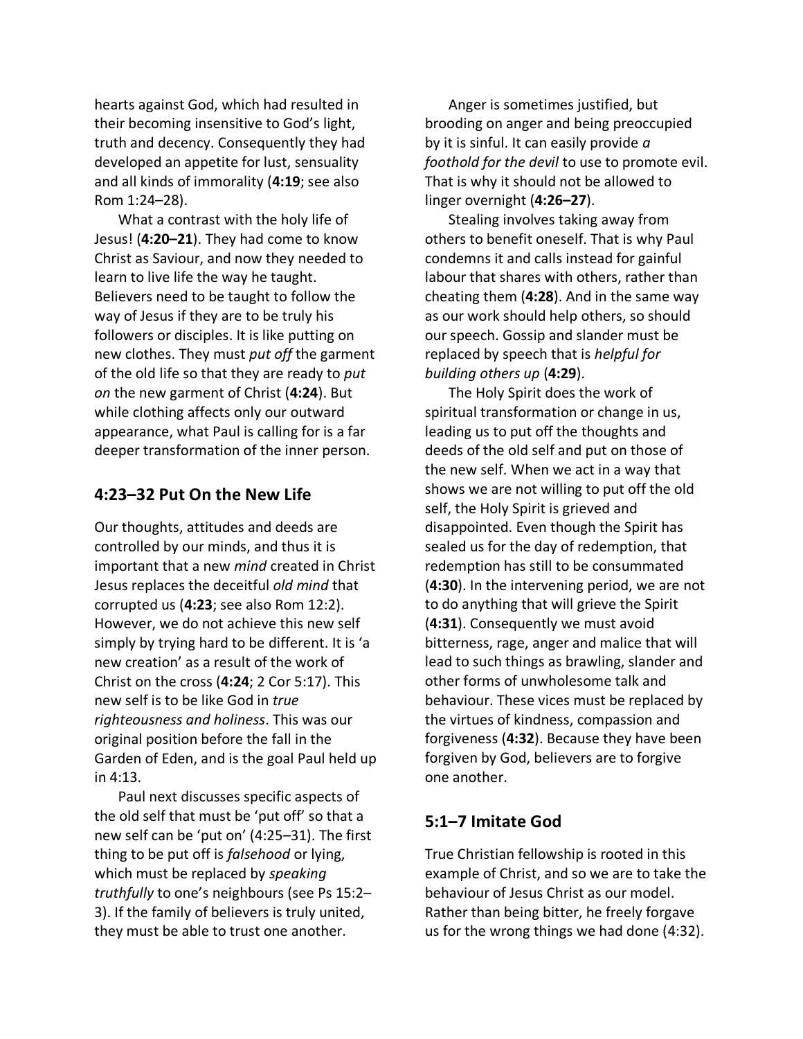hearts against God, which had resulted in their becoming insensitive to God's light, truth and decency. Consequently they had developed an appetite for lust, sensuality and all kinds of immorality (**4:19**; see also Rom 1:24–28).

What a contrast with the holy life of Jesus! (**4:20–21**). They had come to know Christ as Saviour, and now they needed to learn to live life the way he taught. Believers need to be taught to follow the way of Jesus if they are to be truly his followers or disciples. It is like putting on new clothes. They must *put off* the garment of the old life so that they are ready to *put on* the new garment of Christ (**4:24**). But while clothing affects only our outward appearance, what Paul is calling for is a far deeper transformation of the inner person.

### **4:23–32 Put On the New Life**

Our thoughts, attitudes and deeds are controlled by our minds, and thus it is important that a new *mind* created in Christ Jesus replaces the deceitful *old mind* that corrupted us (**4:23**; see also Rom 12:2). However, we do not achieve this new self simply by trying hard to be different. It is 'a new creation' as a result of the work of Christ on the cross (**4:24**; 2 Cor 5:17). This new self is to be like God in *true righteousness and holiness*. This was our original position before the fall in the Garden of Eden, and is the goal Paul held up in 4:13.

Paul next discusses specific aspects of the old self that must be 'put off' so that a new self can be 'put on' (4:25–31). The first thing to be put off is *falsehood* or lying, which must be replaced by *speaking truthfully* to one's neighbours (see Ps 15:2– 3). If the family of believers is truly united, they must be able to trust one another.

Anger is sometimes justified, but brooding on anger and being preoccupied by it is sinful. It can easily provide *a foothold for the devil* to use to promote evil. That is why it should not be allowed to linger overnight (**4:26–27**).

Stealing involves taking away from others to benefit oneself. That is why Paul condemns it and calls instead for gainful labour that shares with others, rather than cheating them (**4:28**). And in the same way as our work should help others, so should our speech. Gossip and slander must be replaced by speech that is *helpful for building others up* (**4:29**).

The Holy Spirit does the work of spiritual transformation or change in us, leading us to put off the thoughts and deeds of the old self and put on those of the new self. When we act in a way that shows we are not willing to put off the old self, the Holy Spirit is grieved and disappointed. Even though the Spirit has sealed us for the day of redemption, that redemption has still to be consummated (**4:30**). In the intervening period, we are not to do anything that will grieve the Spirit (**4:31**). Consequently we must avoid bitterness, rage, anger and malice that will lead to such things as brawling, slander and other forms of unwholesome talk and behaviour. These vices must be replaced by the virtues of kindness, compassion and forgiveness (**4:32**). Because they have been forgiven by God, believers are to forgive one another.

### **5:1–7 Imitate God**

True Christian fellowship is rooted in this example of Christ, and so we are to take the behaviour of Jesus Christ as our model. Rather than being bitter, he freely forgave us for the wrong things we had done (4:32).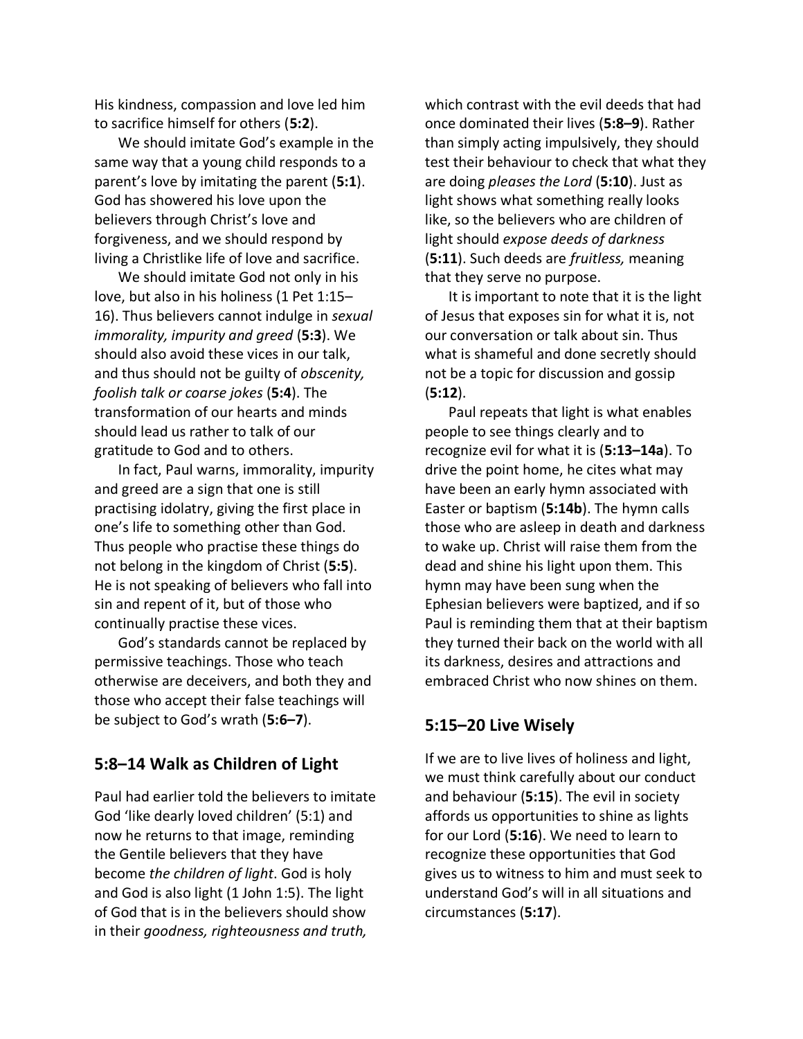His kindness, compassion and love led him to sacrifice himself for others (**5:2**).

We should imitate God's example in the same way that a young child responds to a parent's love by imitating the parent (**5:1**). God has showered his love upon the believers through Christ's love and forgiveness, and we should respond by living a Christlike life of love and sacrifice.

We should imitate God not only in his love, but also in his holiness (1 Pet 1:15– 16). Thus believers cannot indulge in *sexual immorality, impurity and greed* (**5:3**). We should also avoid these vices in our talk, and thus should not be guilty of *obscenity, foolish talk or coarse jokes* (**5:4**). The transformation of our hearts and minds should lead us rather to talk of our gratitude to God and to others.

In fact, Paul warns, immorality, impurity and greed are a sign that one is still practising idolatry, giving the first place in one's life to something other than God. Thus people who practise these things do not belong in the kingdom of Christ (**5:5**). He is not speaking of believers who fall into sin and repent of it, but of those who continually practise these vices.

God's standards cannot be replaced by permissive teachings. Those who teach otherwise are deceivers, and both they and those who accept their false teachings will be subject to God's wrath (**5:6–7**).

### **5:8–14 Walk as Children of Light**

Paul had earlier told the believers to imitate God 'like dearly loved children' (5:1) and now he returns to that image, reminding the Gentile believers that they have become *the children of light*. God is holy and God is also light (1 John 1:5). The light of God that is in the believers should show in their *goodness, righteousness and truth,*

which contrast with the evil deeds that had once dominated their lives (**5:8–9**). Rather than simply acting impulsively, they should test their behaviour to check that what they are doing *pleases the Lord* (**5:10**). Just as light shows what something really looks like, so the believers who are children of light should *expose deeds of darkness* (**5:11**). Such deeds are *fruitless,* meaning that they serve no purpose.

It is important to note that it is the light of Jesus that exposes sin for what it is, not our conversation or talk about sin. Thus what is shameful and done secretly should not be a topic for discussion and gossip (**5:12**).

Paul repeats that light is what enables people to see things clearly and to recognize evil for what it is (**5:13–14a**). To drive the point home, he cites what may have been an early hymn associated with Easter or baptism (**5:14b**). The hymn calls those who are asleep in death and darkness to wake up. Christ will raise them from the dead and shine his light upon them. This hymn may have been sung when the Ephesian believers were baptized, and if so Paul is reminding them that at their baptism they turned their back on the world with all its darkness, desires and attractions and embraced Christ who now shines on them.

### **5:15–20 Live Wisely**

If we are to live lives of holiness and light, we must think carefully about our conduct and behaviour (**5:15**). The evil in society affords us opportunities to shine as lights for our Lord (**5:16**). We need to learn to recognize these opportunities that God gives us to witness to him and must seek to understand God's will in all situations and circumstances (**5:17**).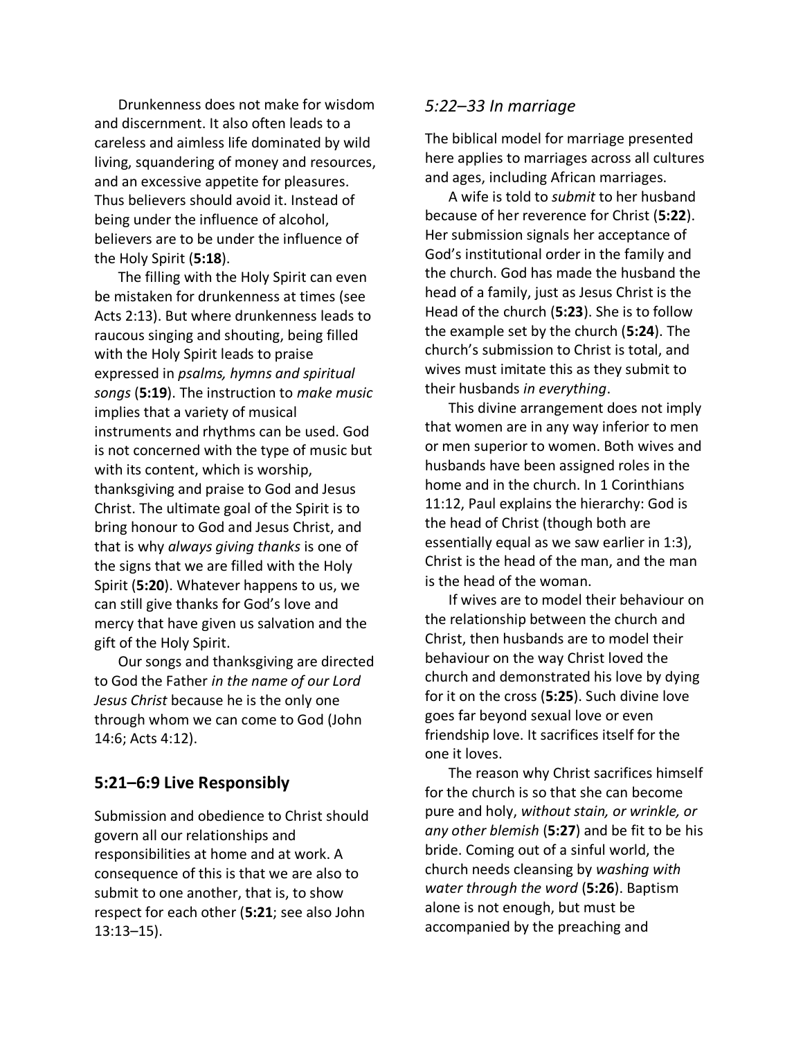Drunkenness does not make for wisdom and discernment. It also often leads to a careless and aimless life dominated by wild living, squandering of money and resources, and an excessive appetite for pleasures. Thus believers should avoid it. Instead of being under the influence of alcohol, believers are to be under the influence of the Holy Spirit (**5:18**).

The filling with the Holy Spirit can even be mistaken for drunkenness at times (see Acts 2:13). But where drunkenness leads to raucous singing and shouting, being filled with the Holy Spirit leads to praise expressed in *psalms, hymns and spiritual songs* (**5:19**). The instruction to *make music* implies that a variety of musical instruments and rhythms can be used. God is not concerned with the type of music but with its content, which is worship, thanksgiving and praise to God and Jesus Christ. The ultimate goal of the Spirit is to bring honour to God and Jesus Christ, and that is why *always giving thanks* is one of the signs that we are filled with the Holy Spirit (**5:20**). Whatever happens to us, we can still give thanks for God's love and mercy that have given us salvation and the gift of the Holy Spirit.

Our songs and thanksgiving are directed to God the Father *in the name of our Lord Jesus Christ* because he is the only one through whom we can come to God (John 14:6; Acts 4:12).

### **5:21–6:9 Live Responsibly**

Submission and obedience to Christ should govern all our relationships and responsibilities at home and at work. A consequence of this is that we are also to submit to one another, that is, to show respect for each other (**5:21**; see also John 13:13–15).

#### *5:22–33 In marriage*

The biblical model for marriage presented here applies to marriages across all cultures and ages, including African marriages.

A wife is told to *submit* to her husband because of her reverence for Christ (**5:22**). Her submission signals her acceptance of God's institutional order in the family and the church. God has made the husband the head of a family, just as Jesus Christ is the Head of the church (**5:23**). She is to follow the example set by the church (**5:24**). The church's submission to Christ is total, and wives must imitate this as they submit to their husbands *in everything*.

This divine arrangement does not imply that women are in any way inferior to men or men superior to women. Both wives and husbands have been assigned roles in the home and in the church. In 1 Corinthians 11:12, Paul explains the hierarchy: God is the head of Christ (though both are essentially equal as we saw earlier in 1:3), Christ is the head of the man, and the man is the head of the woman.

If wives are to model their behaviour on the relationship between the church and Christ, then husbands are to model their behaviour on the way Christ loved the church and demonstrated his love by dying for it on the cross (**5:25**). Such divine love goes far beyond sexual love or even friendship love. It sacrifices itself for the one it loves.

The reason why Christ sacrifices himself for the church is so that she can become pure and holy, *without stain, or wrinkle, or any other blemish* (**5:27**) and be fit to be his bride. Coming out of a sinful world, the church needs cleansing by *washing with water through the word* (**5:26**). Baptism alone is not enough, but must be accompanied by the preaching and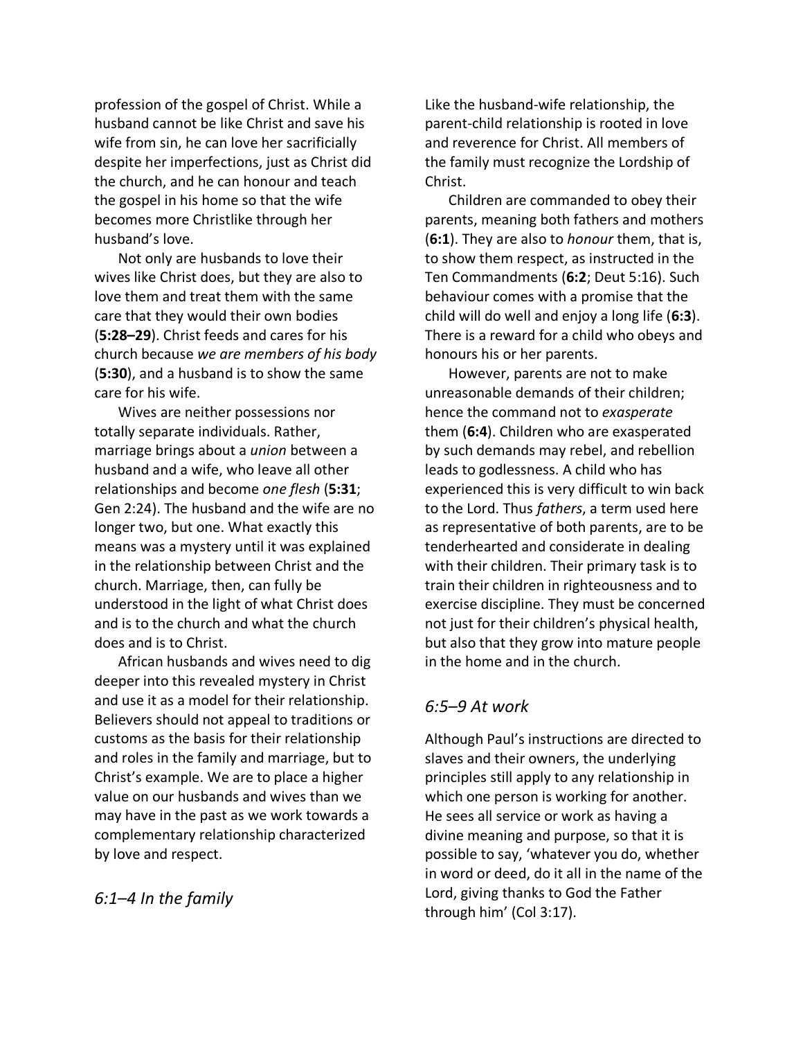profession of the gospel of Christ. While a husband cannot be like Christ and save his wife from sin, he can love her sacrificially despite her imperfections, just as Christ did the church, and he can honour and teach the gospel in his home so that the wife becomes more Christlike through her husband's love.

Not only are husbands to love their wives like Christ does, but they are also to love them and treat them with the same care that they would their own bodies (**5:28–29**). Christ feeds and cares for his church because *we are members of his body* (**5:30**), and a husband is to show the same care for his wife.

Wives are neither possessions nor totally separate individuals. Rather, marriage brings about a *union* between a husband and a wife, who leave all other relationships and become *one flesh* (**5:31**; Gen 2:24). The husband and the wife are no longer two, but one. What exactly this means was a mystery until it was explained in the relationship between Christ and the church. Marriage, then, can fully be understood in the light of what Christ does and is to the church and what the church does and is to Christ.

African husbands and wives need to dig deeper into this revealed mystery in Christ and use it as a model for their relationship. Believers should not appeal to traditions or customs as the basis for their relationship and roles in the family and marriage, but to Christ's example. We are to place a higher value on our husbands and wives than we may have in the past as we work towards a complementary relationship characterized by love and respect.

*6:1–4 In the family*

Like the husband-wife relationship, the parent-child relationship is rooted in love and reverence for Christ. All members of the family must recognize the Lordship of Christ.

Children are commanded to obey their parents, meaning both fathers and mothers (**6:1**). They are also to *honour* them, that is, to show them respect, as instructed in the Ten Commandments (**6:2**; Deut 5:16). Such behaviour comes with a promise that the child will do well and enjoy a long life (**6:3**). There is a reward for a child who obeys and honours his or her parents.

However, parents are not to make unreasonable demands of their children; hence the command not to *exasperate* them (**6:4**). Children who are exasperated by such demands may rebel, and rebellion leads to godlessness. A child who has experienced this is very difficult to win back to the Lord. Thus *fathers*, a term used here as representative of both parents, are to be tenderhearted and considerate in dealing with their children. Their primary task is to train their children in righteousness and to exercise discipline. They must be concerned not just for their children's physical health, but also that they grow into mature people in the home and in the church.

### *6:5–9 At work*

Although Paul's instructions are directed to slaves and their owners, the underlying principles still apply to any relationship in which one person is working for another. He sees all service or work as having a divine meaning and purpose, so that it is possible to say, 'whatever you do, whether in word or deed, do it all in the name of the Lord, giving thanks to God the Father through him' (Col 3:17).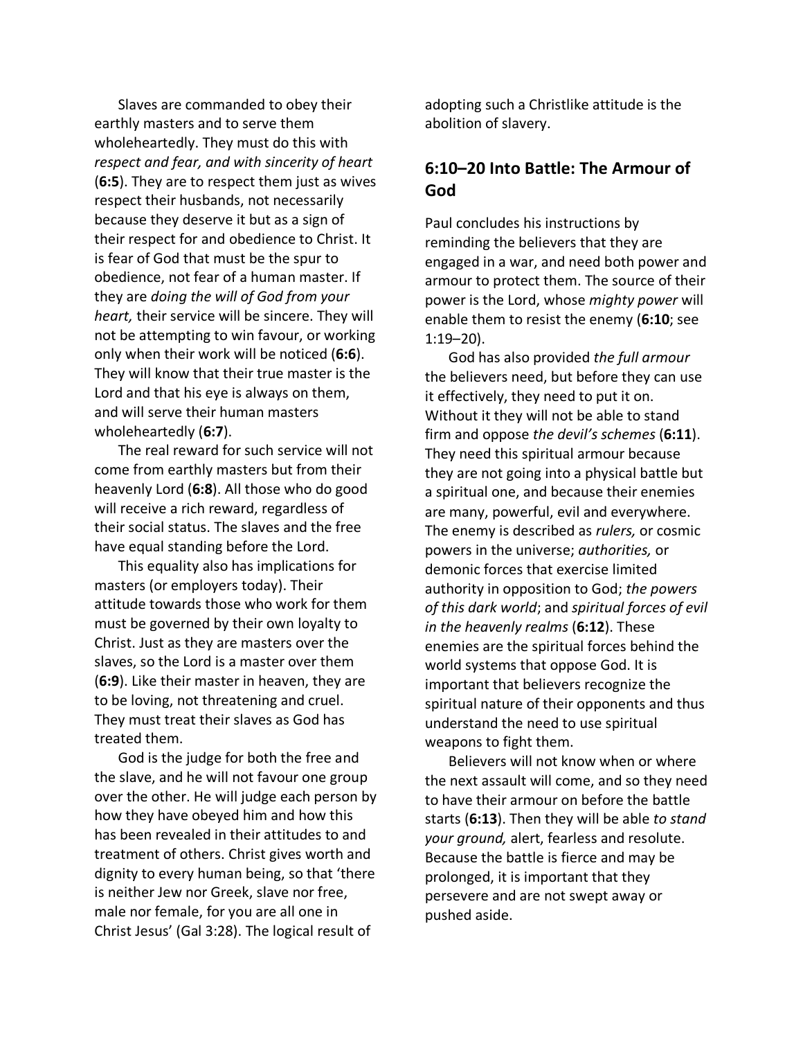Slaves are commanded to obey their earthly masters and to serve them wholeheartedly. They must do this with *respect and fear, and with sincerity of heart* (**6:5**). They are to respect them just as wives respect their husbands, not necessarily because they deserve it but as a sign of their respect for and obedience to Christ. It is fear of God that must be the spur to obedience, not fear of a human master. If they are *doing the will of God from your heart,* their service will be sincere. They will not be attempting to win favour, or working only when their work will be noticed (**6:6**). They will know that their true master is the Lord and that his eye is always on them, and will serve their human masters wholeheartedly (**6:7**).

The real reward for such service will not come from earthly masters but from their heavenly Lord (**6:8**). All those who do good will receive a rich reward, regardless of their social status. The slaves and the free have equal standing before the Lord.

This equality also has implications for masters (or employers today). Their attitude towards those who work for them must be governed by their own loyalty to Christ. Just as they are masters over the slaves, so the Lord is a master over them (**6:9**). Like their master in heaven, they are to be loving, not threatening and cruel. They must treat their slaves as God has treated them.

God is the judge for both the free and the slave, and he will not favour one group over the other. He will judge each person by how they have obeyed him and how this has been revealed in their attitudes to and treatment of others. Christ gives worth and dignity to every human being, so that 'there is neither Jew nor Greek, slave nor free, male nor female, for you are all one in Christ Jesus' (Gal 3:28). The logical result of

adopting such a Christlike attitude is the abolition of slavery.

### **6:10–20 Into Battle: The Armour of God**

Paul concludes his instructions by reminding the believers that they are engaged in a war, and need both power and armour to protect them. The source of their power is the Lord, whose *mighty power* will enable them to resist the enemy (**6:10**; see 1:19–20).

God has also provided *the full armour* the believers need, but before they can use it effectively, they need to put it on. Without it they will not be able to stand firm and oppose *the devil's schemes* (**6:11**). They need this spiritual armour because they are not going into a physical battle but a spiritual one, and because their enemies are many, powerful, evil and everywhere. The enemy is described as *rulers,* or cosmic powers in the universe; *authorities,* or demonic forces that exercise limited authority in opposition to God; *the powers of this dark world*; and *spiritual forces of evil in the heavenly realms* (**6:12**). These enemies are the spiritual forces behind the world systems that oppose God. It is important that believers recognize the spiritual nature of their opponents and thus understand the need to use spiritual weapons to fight them.

Believers will not know when or where the next assault will come, and so they need to have their armour on before the battle starts (**6:13**). Then they will be able *to stand your ground,* alert, fearless and resolute. Because the battle is fierce and may be prolonged, it is important that they persevere and are not swept away or pushed aside.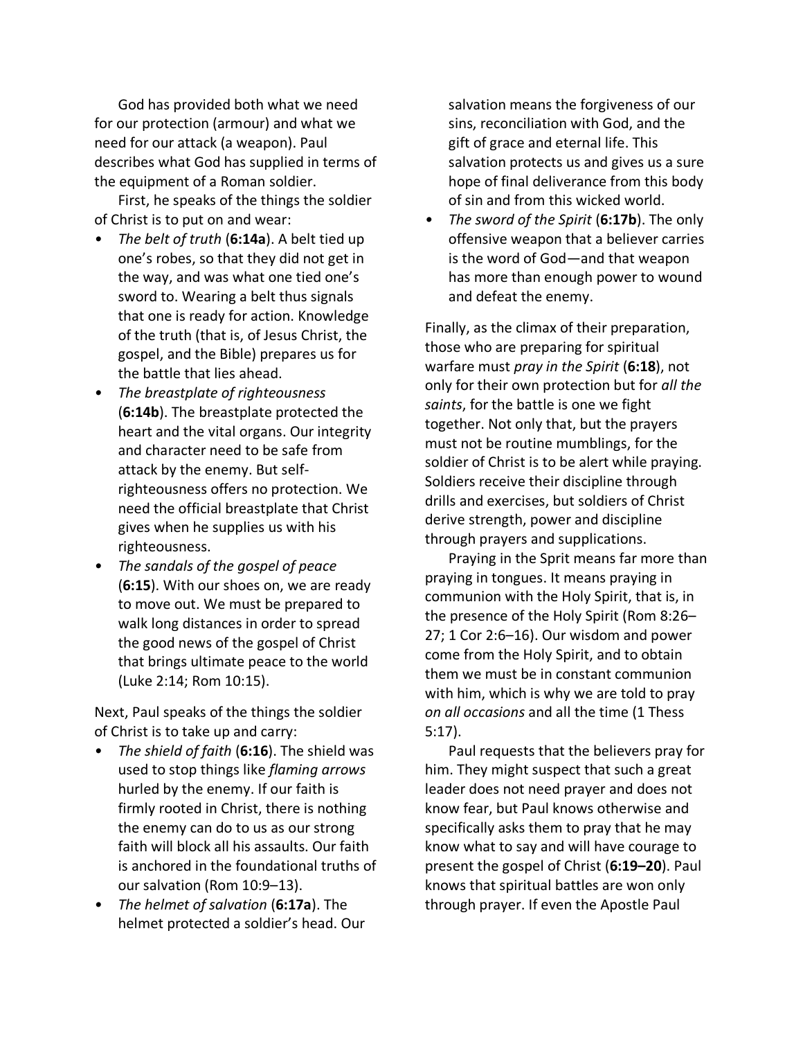God has provided both what we need for our protection (armour) and what we need for our attack (a weapon). Paul describes what God has supplied in terms of the equipment of a Roman soldier.

First, he speaks of the things the soldier of Christ is to put on and wear:

- *• The belt of truth* (**6:14a**). A belt tied up one's robes, so that they did not get in the way, and was what one tied one's sword to. Wearing a belt thus signals that one is ready for action. Knowledge of the truth (that is, of Jesus Christ, the gospel, and the Bible) prepares us for the battle that lies ahead.
- *• The breastplate of righteousness* (**6:14b**). The breastplate protected the heart and the vital organs. Our integrity and character need to be safe from attack by the enemy. But selfrighteousness offers no protection. We need the official breastplate that Christ gives when he supplies us with his righteousness.
- *• The sandals of the gospel of peace* (**6:15**). With our shoes on, we are ready to move out. We must be prepared to walk long distances in order to spread the good news of the gospel of Christ that brings ultimate peace to the world (Luke 2:14; Rom 10:15).

Next, Paul speaks of the things the soldier of Christ is to take up and carry:

- *• The shield of faith* (**6:16**). The shield was used to stop things like *flaming arrows* hurled by the enemy. If our faith is firmly rooted in Christ, there is nothing the enemy can do to us as our strong faith will block all his assaults. Our faith is anchored in the foundational truths of our salvation (Rom 10:9–13).
- *• The helmet of salvation* (**6:17a**). The helmet protected a soldier's head. Our

salvation means the forgiveness of our sins, reconciliation with God, and the gift of grace and eternal life. This salvation protects us and gives us a sure hope of final deliverance from this body of sin and from this wicked world.

*• The sword of the Spirit* (**6:17b**). The only offensive weapon that a believer carries is the word of God—and that weapon has more than enough power to wound and defeat the enemy.

Finally, as the climax of their preparation, those who are preparing for spiritual warfare must *pray in the Spirit* (**6:18**), not only for their own protection but for *all the saints*, for the battle is one we fight together. Not only that, but the prayers must not be routine mumblings, for the soldier of Christ is to be alert while praying. Soldiers receive their discipline through drills and exercises, but soldiers of Christ derive strength, power and discipline through prayers and supplications.

Praying in the Sprit means far more than praying in tongues. It means praying in communion with the Holy Spirit, that is, in the presence of the Holy Spirit (Rom 8:26– 27; 1 Cor 2:6–16). Our wisdom and power come from the Holy Spirit, and to obtain them we must be in constant communion with him, which is why we are told to pray *on all occasions* and all the time (1 Thess 5:17).

Paul requests that the believers pray for him. They might suspect that such a great leader does not need prayer and does not know fear, but Paul knows otherwise and specifically asks them to pray that he may know what to say and will have courage to present the gospel of Christ (**6:19–20**). Paul knows that spiritual battles are won only through prayer. If even the Apostle Paul